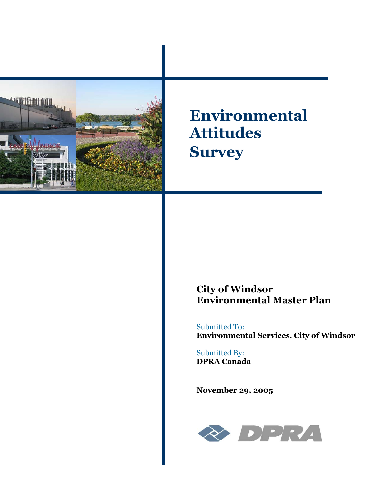

**Environmental Attitudes Survey** 

# **City of Windsor Environmental Master Plan**

Submitted To: **Environmental Services, City of Windsor** 

Submitted By: **DPRA Canada** 

**November 29, 2005**

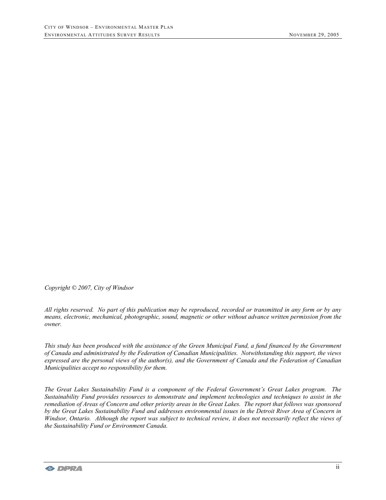*Copyright © 2007, City of Windsor* 

*All rights reserved. No part of this publication may be reproduced, recorded or transmitted in any form or by any means, electronic, mechanical, photographic, sound, magnetic or other without advance written permission from the owner.* 

*This study has been produced with the assistance of the Green Municipal Fund, a fund financed by the Government of Canada and administrated by the Federation of Canadian Municipalities. Notwithstanding this support, the views expressed are the personal views of the author(s), and the Government of Canada and the Federation of Canadian Municipalities accept no responsibility for them.* 

*The Great Lakes Sustainability Fund is a component of the Federal Government's Great Lakes program. The Sustainability Fund provides resources to demonstrate and implement technologies and techniques to assist in the remediation of Areas of Concern and other priority areas in the Great Lakes. The report that follows was sponsored by the Great Lakes Sustainability Fund and addresses environmental issues in the Detroit River Area of Concern in Windsor, Ontario. Although the report was subject to technical review, it does not necessarily reflect the views of the Sustainability Fund or Environment Canada.*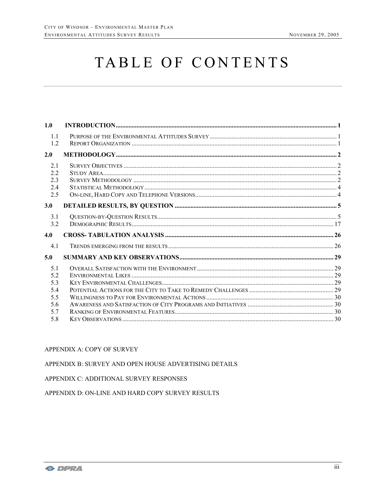# TABLE OF CONTENTS

| 1.0                             |  |
|---------------------------------|--|
| 1.1<br>1.2                      |  |
| 2.0                             |  |
| 2.1<br>2.2<br>2.3<br>2.4<br>2.5 |  |
| 3.0                             |  |
| 3.1<br>3.2                      |  |
| 4.0                             |  |
| 4.1                             |  |
| 5.0                             |  |
| 5.1<br>5.2<br>5.3               |  |
| 5.4<br>5.5                      |  |
| 5.6<br>5.7<br>5.8               |  |
|                                 |  |

### APPENDIX A: COPY OF SURVEY

#### APPENDIX B: SURVEY AND OPEN HOUSE ADVERTISING DETAILS

# APPENDIX C: ADDITIONAL SURVEY RESPONSES

# APPENDIX D: ON-LINE AND HARD COPY SURVEY RESULTS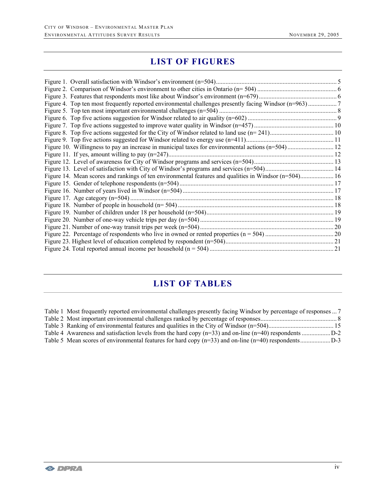# **LIST OF FIGURES**

| Figure 14. Mean scores and rankings of ten environmental features and qualities in Windsor (n=504) 16 |  |
|-------------------------------------------------------------------------------------------------------|--|
|                                                                                                       |  |
|                                                                                                       |  |
|                                                                                                       |  |
|                                                                                                       |  |
|                                                                                                       |  |
|                                                                                                       |  |
|                                                                                                       |  |
|                                                                                                       |  |
|                                                                                                       |  |
|                                                                                                       |  |

# **LIST OF TABLES**

| Table 1 Most frequently reported environmental challenges presently facing Windsor by percentage of responses  7 |  |
|------------------------------------------------------------------------------------------------------------------|--|
|                                                                                                                  |  |
|                                                                                                                  |  |
|                                                                                                                  |  |
|                                                                                                                  |  |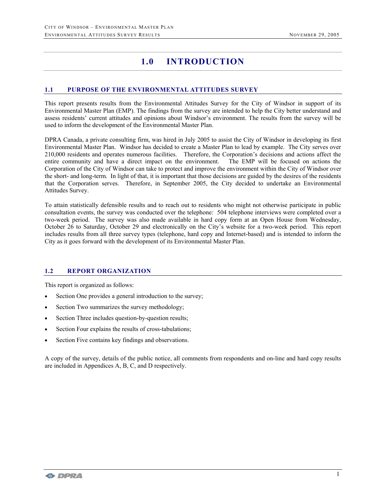# **1.0 INTRODUCTION**

## **1.1 PURPOSE OF THE ENVIRONMENTAL ATTITUDES SURVEY**

This report presents results from the Environmental Attitudes Survey for the City of Windsor in support of its Environmental Master Plan (EMP). The findings from the survey are intended to help the City better understand and assess residents' current attitudes and opinions about Windsor's environment. The results from the survey will be used to inform the development of the Environmental Master Plan.

DPRA Canada, a private consulting firm, was hired in July 2005 to assist the City of Windsor in developing its first Environmental Master Plan. Windsor has decided to create a Master Plan to lead by example. The City serves over 210,000 residents and operates numerous facilities. Therefore, the Corporation's decisions and actions affect the entire community and have a direct impact on the environment. The EMP will be focused on actions the Corporation of the City of Windsor can take to protect and improve the environment within the City of Windsor over the short- and long-term. In light of that, it is important that those decisions are guided by the desires of the residents that the Corporation serves. Therefore, in September 2005, the City decided to undertake an Environmental Attitudes Survey.

To attain statistically defensible results and to reach out to residents who might not otherwise participate in public consultation events, the survey was conducted over the telephone: 504 telephone interviews were completed over a two-week period. The survey was also made available in hard copy form at an Open House from Wednesday, October 26 to Saturday, October 29 and electronically on the City's website for a two-week period. This report includes results from all three survey types (telephone, hard copy and Internet-based) and is intended to inform the City as it goes forward with the development of its Environmental Master Plan.

### **1.2 REPORT ORGANIZATION**

This report is organized as follows:

- Section One provides a general introduction to the survey;
- Section Two summarizes the survey methodology;
- Section Three includes question-by-question results;
- Section Four explains the results of cross-tabulations;
- Section Five contains key findings and observations.

A copy of the survey, details of the public notice, all comments from respondents and on-line and hard copy results are included in Appendices A, B, C, and D respectively.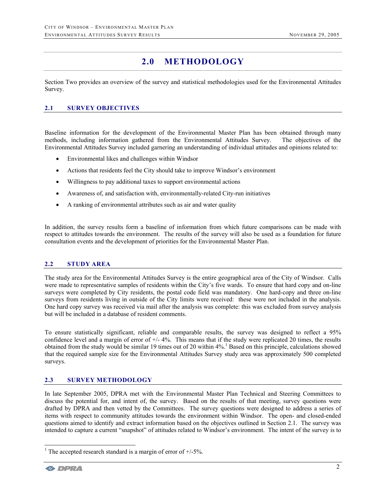# **2.0 METHODOLOGY**

Section Two provides an overview of the survey and statistical methodologies used for the Environmental Attitudes Survey.

# **2.1 SURVEY OBJECTIVES**

Baseline information for the development of the Environmental Master Plan has been obtained through many methods, including information gathered from the Environmental Attitudes Survey. The objectives of the Environmental Attitudes Survey included garnering an understanding of individual attitudes and opinions related to:

- Environmental likes and challenges within Windsor
- Actions that residents feel the City should take to improve Windsor's environment
- Willingness to pay additional taxes to support environmental actions
- Awareness of, and satisfaction with, environmentally-related City-run initiatives
- A ranking of environmental attributes such as air and water quality

In addition, the survey results form a baseline of information from which future comparisons can be made with respect to attitudes towards the environment. The results of the survey will also be used as a foundation for future consultation events and the development of priorities for the Environmental Master Plan.

### **2.2 STUDY AREA**

The study area for the Environmental Attitudes Survey is the entire geographical area of the City of Windsor. Calls were made to representative samples of residents within the City's five wards. To ensure that hard copy and on-line surveys were completed by City residents, the postal code field was mandatory. One hard-copy and three on-line surveys from residents living in outside of the City limits were received: these were not included in the analysis. One hard copy survey was received via mail after the analysis was complete: this was excluded from survey analysis but will be included in a database of resident comments.

To ensure statistically significant, reliable and comparable results, the survey was designed to reflect a 95% confidence level and a margin of error of +/- 4%. This means that if the study were replicated 20 times, the results obtained from the study would be similar 19 times out of 20 within 4%.<sup>1</sup> Based on this principle, calculations showed that the required sample size for the Environmental Attitudes Survey study area was approximately 500 completed surveys.

### **2.3 SURVEY METHODOLOGY**

In late September 2005, DPRA met with the Environmental Master Plan Technical and Steering Committees to discuss the potential for, and intent of, the survey. Based on the results of that meeting, survey questions were drafted by DPRA and then vetted by the Committees. The survey questions were designed to address a series of items with respect to community attitudes towards the environment within Windsor. The open- and closed-ended questions aimed to identify and extract information based on the objectives outlined in Section 2.1. The survey was intended to capture a current "snapshot" of attitudes related to Windsor's environment. The intent of the survey is to

 $\overline{a}$ 

<sup>&</sup>lt;sup>1</sup> The accepted research standard is a margin of error of  $+/$ -5%.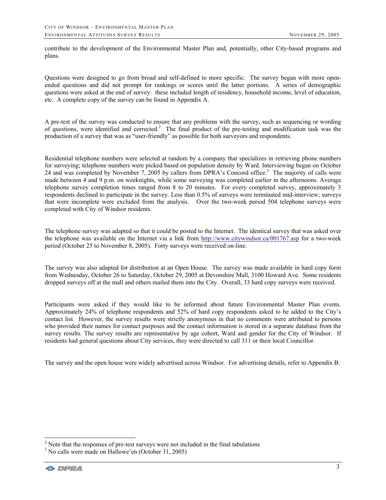contribute to the development of the Environmental Master Plan and, potentially, other City-based programs and plans.

Questions were designed to go from broad and self-defined to more specific. The survey began with more openended questions and did not prompt for rankings or scores until the latter portions. A series of demographic questions were asked at the end of survey: these included length of residency, household income, level of education, etc. A complete copy of the survey can be found in Appendix A.

A pre-test of the survey was conducted to ensure that any problems with the survey, such as sequencing or wording of questions, were identified and corrected.<sup>2</sup> The final product of the pre-testing and modification task was the production of a survey that was as "user-friendly" as possible for both surveyors and respondents.

Residential telephone numbers were selected at random by a company that specializes in retrieving phone numbers for surveying; telephone numbers were picked based on population density by Ward. Interviewing began on October 24 and was completed by November 7, 2005 by callers from DPRA's Concord office.<sup>3</sup> The majority of calls were made between 4 and 9 p.m. on weeknights, while some surveying was completed earlier in the afternoons. Average telephone survey completion times ranged from 8 to 20 minutes. For every completed survey, approximately 3 respondents declined to participate in the survey. Less than 0.5% of surveys were terminated mid-interview; surveys that were incomplete were excluded from the analysis. Over the two-week period 504 telephone surveys were completed with City of Windsor residents.

The telephone survey was adapted so that it could be posted to the Internet. The identical survey that was asked over the telephone was available on the Internet via a link from http://www.citywindsor.ca/001767.asp for a two-week period (October 25 to November 8, 2005). Forty surveys were received on-line.

The survey was also adapted for distribution at an Open House. The survey was made available in hard copy form from Wednesday, October 26 to Saturday, October 29, 2005 at Devonshire Mall, 3100 Howard Ave. Some residents dropped surveys off at the mall and others mailed them into the City. Overall, 33 hard copy surveys were received.

Participants were asked if they would like to be informed about future Environmental Master Plan events. Approximately 24% of telephone respondents and 52% of hard copy respondents asked to be added to the City's contact list. However, the survey results were strictly anonymous in that no comments were attributed to persons who provided their names for contact purposes and the contact information is stored in a separate database from the survey results. The survey results are representative by age cohort, Ward and gender for the City of Windsor. If residents had general questions about City services, they were directed to call 311 or their local Councillor.

The survey and the open house were widely advertised across Windsor. For advertising details, refer to Appendix B.

 $\overline{a}$ 

<sup>&</sup>lt;sup>2</sup> Note that the responses of pre-test surveys were not included in the final tabulations  $\frac{3}{2}$  No calls were made on Hallowa' on (Ostober 31, 2005)

 $3$  No calls were made on Hallowe'en (October 31, 2005)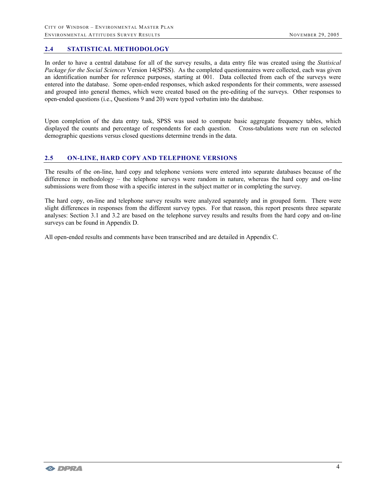# **2.4 STATISTICAL METHODOLOGY**

In order to have a central database for all of the survey results, a data entry file was created using the *Statisical Package for the Social Sciences* Version 14(SPSS). As the completed questionnaires were collected, each was given an identification number for reference purposes, starting at 001. Data collected from each of the surveys were entered into the database. Some open-ended responses, which asked respondents for their comments, were assessed and grouped into general themes, which were created based on the pre-editing of the surveys. Other responses to open-ended questions (i.e., Questions 9 and 20) were typed verbatim into the database.

Upon completion of the data entry task, SPSS was used to compute basic aggregate frequency tables, which displayed the counts and percentage of respondents for each question. Cross-tabulations were run on selected demographic questions versus closed questions determine trends in the data.

# **2.5 ON-LINE, HARD COPY AND TELEPHONE VERSIONS**

The results of the on-line, hard copy and telephone versions were entered into separate databases because of the difference in methodology – the telephone surveys were random in nature, whereas the hard copy and on-line submissions were from those with a specific interest in the subject matter or in completing the survey.

The hard copy, on-line and telephone survey results were analyzed separately and in grouped form. There were slight differences in responses from the different survey types. For that reason, this report presents three separate analyses: Section 3.1 and 3.2 are based on the telephone survey results and results from the hard copy and on-line surveys can be found in Appendix D.

All open-ended results and comments have been transcribed and are detailed in Appendix C.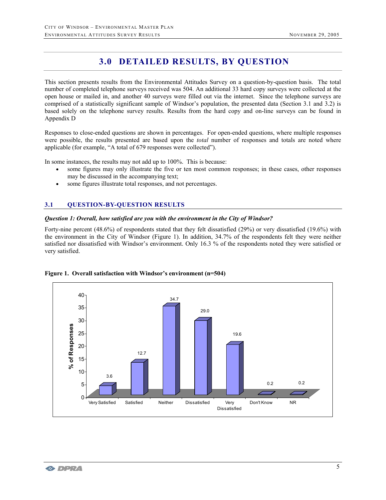# **3.0 DETAILED RESULTS, BY QUESTION**

This section presents results from the Environmental Attitudes Survey on a question-by-question basis. The total number of completed telephone surveys received was 504. An additional 33 hard copy surveys were collected at the open house or mailed in, and another 40 surveys were filled out via the internet. Since the telephone surveys are comprised of a statistically significant sample of Windsor's population, the presented data (Section 3.1 and 3.2) is based solely on the telephone survey results. Results from the hard copy and on-line surveys can be found in Appendix D

Responses to close-ended questions are shown in percentages. For open-ended questions, where multiple responses were possible, the results presented are based upon the *total* number of responses and totals are noted where applicable (for example, "A total of 679 responses were collected").

In some instances, the results may not add up to 100%. This is because:

- some figures may only illustrate the five or ten most common responses; in these cases, other responses may be discussed in the accompanying text;
- some figures illustrate total responses, and not percentages.

#### **3.1 QUESTION-BY-QUESTION RESULTS**

### *Question 1: Overall, how satisfied are you with the environment in the City of Windsor?*

Forty-nine percent (48.6%) of respondents stated that they felt dissatisfied (29%) or very dissatisfied (19.6%) with the environment in the City of Windsor (Figure 1). In addition, 34.7% of the respondents felt they were neither satisfied nor dissatisfied with Windsor's environment. Only 16.3 % of the respondents noted they were satisfied or very satisfied.



#### **Figure 1. Overall satisfaction with Windsor's environment (n=504)**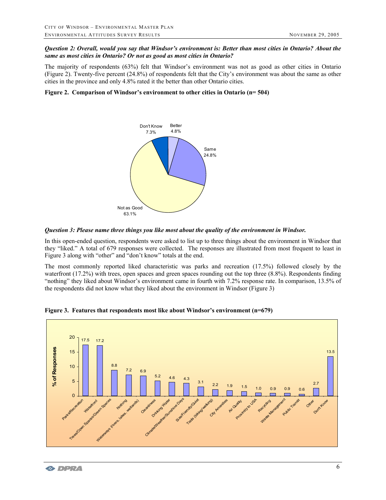#### *Question 2: Overall, would you say that Windsor's environment is: Better than most cities in Ontario? About the same as most cities in Ontario? Or not as good as most cities in Ontario?*

The majority of respondents (63%) felt that Windsor's environment was not as good as other cities in Ontario (Figure 2). Twenty-five percent (24.8%) of respondents felt that the City's environment was about the same as other cities in the province and only 4.8% rated it the better than other Ontario cities.

#### **Figure 2. Comparison of Windsor's environment to other cities in Ontario (n= 504)**



*Question 3: Please name three things you like most about the quality of the environment in Windsor.* 

In this open-ended question, respondents were asked to list up to three things about the environment in Windsor that they "liked." A total of 679 responses were collected. The responses are illustrated from most frequent to least in Figure 3 along with "other" and "don't know" totals at the end.

The most commonly reported liked characteristic was parks and recreation (17.5%) followed closely by the waterfront (17.2%) with trees, open spaces and green spaces rounding out the top three (8.8%). Respondents finding "nothing" they liked about Windsor's environment came in fourth with 7.2% response rate. In comparison, 13.5% of the respondents did not know what they liked about the environment in Windsor (Figure 3)

**Figure 3. Features that respondents most like about Windsor's environment (n=679)** 

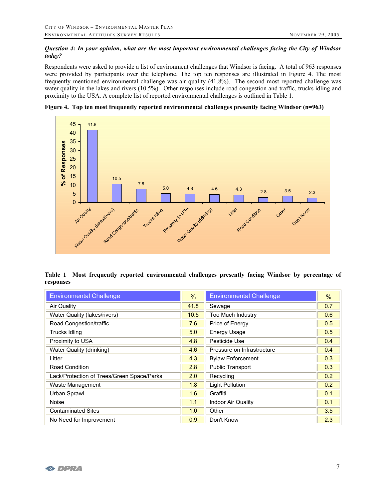# *Question 4: In your opinion, what are the most important environmental challenges facing the City of Windsor today?*

Respondents were asked to provide a list of environment challenges that Windsor is facing. A total of 963 responses were provided by participants over the telephone. The top ten responses are illustrated in Figure 4. The most frequently mentioned environmental challenge was air quality (41.8%). The second most reported challenge was water quality in the lakes and rivers (10.5%). Other responses include road congestion and traffic, trucks idling and proximity to the USA. A complete list of reported environmental challenges is outlined in Table 1.





|           |  | Table 1 Most frequently reported environmental challenges presently facing Windsor by percentage of |  |  |  |  |
|-----------|--|-----------------------------------------------------------------------------------------------------|--|--|--|--|
| responses |  |                                                                                                     |  |  |  |  |

| <b>Environmental Challenge</b>             | %    | <b>Environmental Challenge</b> | %   |
|--------------------------------------------|------|--------------------------------|-----|
| <b>Air Quality</b>                         | 41.8 | Sewage                         | 0.7 |
| Water Quality (lakes/rivers)               | 10.5 | Too Much Industry              | 0.6 |
| Road Congestion/traffic                    | 7.6  | Price of Energy                | 0.5 |
| Trucks Idling                              | 5.0  | Energy Usage                   | 0.5 |
| Proximity to USA                           | 4.8  | Pesticide Use                  | 0.4 |
| Water Quality (drinking)                   | 4.6  | Pressure on Infrastructure     | 0.4 |
| Litter                                     | 4.3  | <b>Bylaw Enforcement</b>       | 0.3 |
| <b>Road Condition</b>                      | 2.8  | <b>Public Transport</b>        | 0.3 |
| Lack/Protection of Trees/Green Space/Parks | 2.0  | Recycling                      | 0.2 |
| Waste Management                           | 1.8  | <b>Light Pollution</b>         | 0.2 |
| Urban Sprawl                               | 1.6  | Graffiti                       | 0.1 |
| <b>Noise</b>                               | 1.1  | Indoor Air Quality             | 0.1 |
| <b>Contaminated Sites</b>                  | 1.0  | Other                          | 3.5 |
| No Need for Improvement                    | 0.9  | Don't Know                     | 2.3 |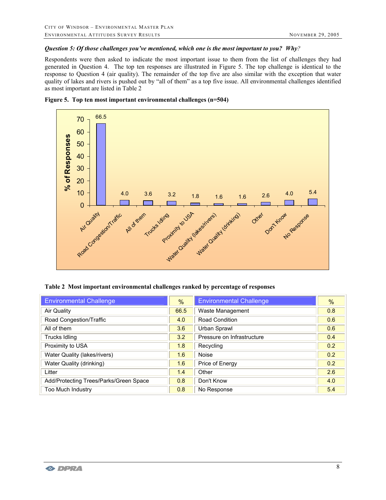#### *Question 5: Of those challenges you've mentioned, which one is the most important to you? Why?*

Respondents were then asked to indicate the most important issue to them from the list of challenges they had generated in Question 4. The top ten responses are illustrated in Figure 5. The top challenge is identical to the response to Question 4 (air quality). The remainder of the top five are also similar with the exception that water quality of lakes and rivers is pushed out by "all of them" as a top five issue. All environmental challenges identified as most important are listed in Table 2





#### **Table 2 Most important environmental challenges ranked by percentage of responses**

| <b>Environmental Challenge</b>         | $\frac{9}{6}$ | <b>Environmental Challenge</b> | $\frac{9}{6}$ |
|----------------------------------------|---------------|--------------------------------|---------------|
| Air Quality                            | 66.5          | Waste Management               | 0.8           |
| Road Congestion/Traffic                | 4.0           | <b>Road Condition</b>          | 0.6           |
| All of them                            | 3.6           | Urban Sprawl                   | 0.6           |
| <b>Trucks Idling</b>                   | 3.2           | Pressure on Infrastructure     | 0.4           |
| Proximity to USA                       | 1.8           | Recycling                      | 0.2           |
| Water Quality (lakes/rivers)           | 1.6           | Noise                          | 0.2           |
| Water Quality (drinking)               | 1.6           | Price of Energy                | 0.2           |
| Litter                                 | 1.4           | Other                          | 2.6           |
| Add/Protecting Trees/Parks/Green Space | 0.8           | Don't Know                     | 4.0           |
| Too Much Industry                      | 0.8           | No Response                    | 5.4           |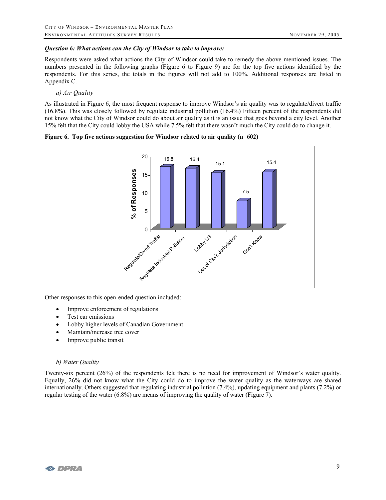### *Question 6: What actions can the City of Windsor to take to improve:*

Respondents were asked what actions the City of Windsor could take to remedy the above mentioned issues. The numbers presented in the following graphs (Figure 6 to Figure 9) are for the top five actions identified by the respondents. For this series, the totals in the figures will not add to 100%. Additional responses are listed in Appendix C.

#### *a) Air Quality*

As illustrated in Figure 6, the most frequent response to improve Windsor's air quality was to regulate/divert traffic (16.8%). This was closely followed by regulate industrial pollution (16.4%) Fifteen percent of the respondents did not know what the City of Windsor could do about air quality as it is an issue that goes beyond a city level. Another 15% felt that the City could lobby the USA while 7.5% felt that there wasn't much the City could do to change it.





Other responses to this open-ended question included:

- Improve enforcement of regulations
- Test car emissions
- Lobby higher levels of Canadian Government
- Maintain/increase tree cover
- Improve public transit

### *b) Water Quality*

Twenty-six percent (26%) of the respondents felt there is no need for improvement of Windsor's water quality. Equally, 26% did not know what the City could do to improve the water quality as the waterways are shared internationally. Others suggested that regulating industrial pollution (7.4%), updating equipment and plants (7.2%) or regular testing of the water (6.8%) are means of improving the quality of water (Figure 7).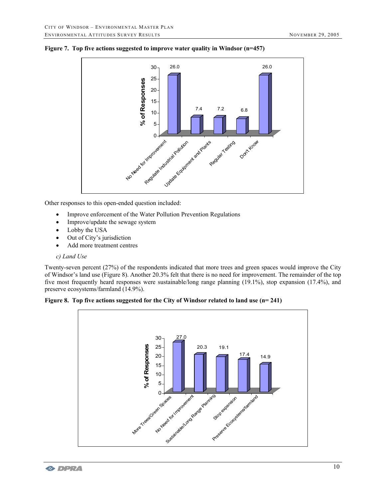



Other responses to this open-ended question included:

- Improve enforcement of the Water Pollution Prevention Regulations
- Improve/update the sewage system
- Lobby the USA
- Out of City's jurisdiction
- Add more treatment centres

#### *c) Land Use*

Twenty-seven percent (27%) of the respondents indicated that more trees and green spaces would improve the City of Windsor's land use (Figure 8). Another 20.3% felt that there is no need for improvement. The remainder of the top five most frequently heard responses were sustainable/long range planning (19.1%), stop expansion (17.4%), and preserve ecosystems/farmland (14.9%).



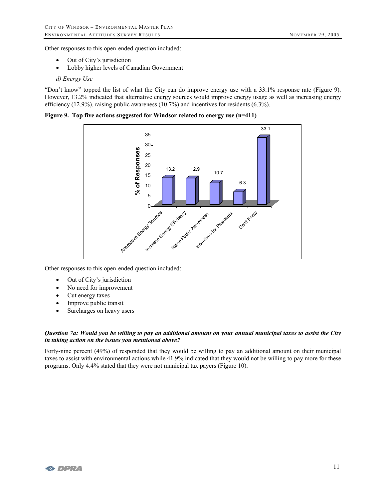Other responses to this open-ended question included:

- Out of City's jurisdiction
- Lobby higher levels of Canadian Government

#### *d) Energy Use*

"Don't know" topped the list of what the City can do improve energy use with a 33.1% response rate (Figure 9). However, 13.2% indicated that alternative energy sources would improve energy usage as well as increasing energy efficiency (12.9%), raising public awareness (10.7%) and incentives for residents (6.3%).

**Figure 9. Top five actions suggested for Windsor related to energy use (n=411)** 



Other responses to this open-ended question included:

- Out of City's jurisdiction
- No need for improvement
- Cut energy taxes
- Improve public transit
- Surcharges on heavy users

#### *Question 7a: Would you be willing to pay an additional amount on your annual municipal taxes to assist the City in taking action on the issues you mentioned above?*

Forty-nine percent (49%) of responded that they would be willing to pay an additional amount on their municipal taxes to assist with environmental actions while 41.9% indicated that they would not be willing to pay more for these programs. Only 4.4% stated that they were not municipal tax payers (Figure 10).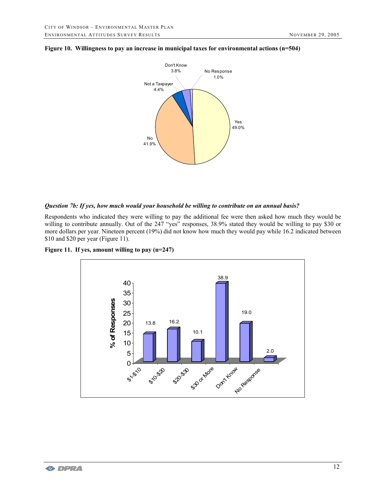

#### **Figure 10. Willingness to pay an increase in municipal taxes for environmental actions (n=504)**

#### *Question 7b: If yes, how much would your household be willing to contribute on an annual basis?*

Respondents who indicated they were willing to pay the additional fee were then asked how much they would be willing to contribute annually. Out of the 247 "yes" responses, 38.9% stated they would be willing to pay \$30 or more dollars per year. Nineteen percent (19%) did not know how much they would pay while 16.2 indicated between \$10 and \$20 per year (Figure 11).



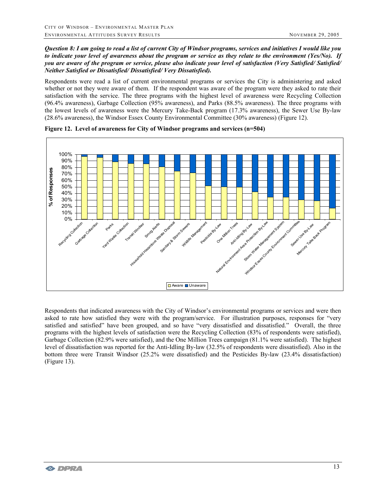#### *Question 8: I am going to read a list of current City of Windsor programs, services and initiatives I would like you to indicate your level of awareness about the program or service as they relate to the environment (Yes/No). If you are aware of the program or service, please also indicate your level of satisfaction (Very Satisfied/ Satisfied/ Neither Satisfied or Dissatisfied/ Dissatisfied/ Very Dissatisfied).*

Respondents were read a list of current environmental programs or services the City is administering and asked whether or not they were aware of them. If the respondent was aware of the program were they asked to rate their satisfaction with the service. The three programs with the highest level of awareness were Recycling Collection (96.4% awareness), Garbage Collection (95% awareness), and Parks (88.5% awareness). The three programs with the lowest levels of awareness were the Mercury Take-Back program (17.3% awareness), the Sewer Use By-law (28.6% awareness), the Windsor Essex County Environmental Committee (30% awareness) (Figure 12).



#### **Figure 12. Level of awareness for City of Windsor programs and services (n=504)**

Respondents that indicated awareness with the City of Windsor's environmental programs or services and were then asked to rate how satisfied they were with the program/service. For illustration purposes, responses for "very satisfied and satisfied" have been grouped, and so have "very dissatisfied and dissatisfied." Overall, the three programs with the highest levels of satisfaction were the Recycling Collection (83% of respondents were satisfied), Garbage Collection (82.9% were satisfied), and the One Million Trees campaign (81.1% were satisfied). The highest level of dissatisfaction was reported for the Anti-Idling By-law (32.5% of respondents were dissatisfied). Also in the bottom three were Transit Windsor (25.2% were dissatisfied) and the Pesticides By-law (23.4% dissatisfaction) (Figure 13).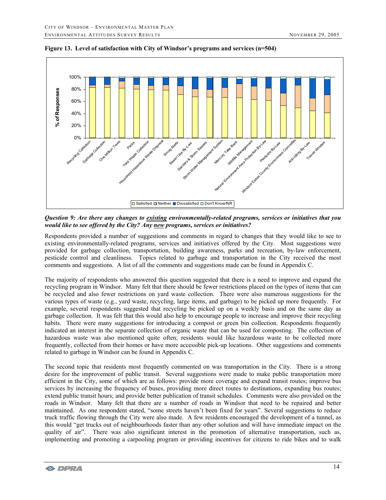

**Figure 13. Level of satisfaction with City of Windsor's programs and services (n=504)** 

*Question 9: Are there any changes to existing environmentally-related programs, services or initiatives that you would like to see offered by the City? Any new programs, services or initiatives?* 

Respondents provided a number of suggestions and comments in regard to changes that they would like to see to existing environmentally-related programs, services and initiatives offered by the City. Most suggestions were provided for garbage collection, transportation, building awareness, parks and recreation, by-law enforcement, pesticide control and cleanliness. Topics related to garbage and transportation in the City received the most comments and suggestions. A list of all the comments and suggestions made can be found in Appendix C.

The majority of respondents who answered this question suggested that there is a need to improve and expand the recycling program in Windsor. Many felt that there should be fewer restrictions placed on the types of items that can be recycled and also fewer restrictions on yard waste collection. There were also numerous suggestions for the various types of waste (e.g., yard waste, recycling, large items, and garbage) to be picked up more frequently. For example, several respondents suggested that recycling be picked up on a weekly basis and on the same day as garbage collection. It was felt that this would also help to encourage people to increase and improve their recycling habits. There were many suggestions for introducing a compost or green bin collection. Respondents frequently indicated an interest in the separate collection of organic waste that can be used for composting. The collection of hazardous waste was also mentioned quite often; residents would like hazardous waste to be collected more frequently, collected from their homes or have more accessible pick-up locations. Other suggestions and comments related to garbage in Windsor can be found in Appendix C.

The second topic that residents most frequently commented on was transportation in the City. There is a strong desire for the improvement of public transit. Several suggestions were made to make public transportation more efficient in the City, some of which are as follows: provide more coverage and expand transit routes; improve bus services by increasing the frequency of buses, providing more direct routes to destinations, expanding bus routes; extend public transit hours; and provide better publication of transit schedules. Comments were also provided on the roads in Windsor. Many felt that there are a number of roads in Windsor that need to be repaired and better maintained. As one respondent stated, "some streets haven't been fixed for years". Several suggestions to reduce truck traffic flowing through the City were also made. A few residents encouraged the development of a tunnel, as this would "get trucks out of neighbourhoods faster than any other solution and will have immediate impact on the quality of air". There was also significant interest in the promotion of alternative transportation, such as, implementing and promoting a carpooling program or providing incentives for citizens to ride bikes and to walk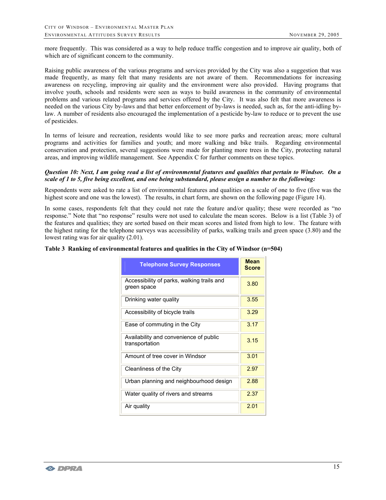more frequently. This was considered as a way to help reduce traffic congestion and to improve air quality, both of which are of significant concern to the community.

Raising public awareness of the various programs and services provided by the City was also a suggestion that was made frequently, as many felt that many residents are not aware of them. Recommendations for increasing awareness on recycling, improving air quality and the environment were also provided. Having programs that involve youth, schools and residents were seen as ways to build awareness in the community of environmental problems and various related programs and services offered by the City. It was also felt that more awareness is needed on the various City by-laws and that better enforcement of by-laws is needed, such as, for the anti-idling bylaw. A number of residents also encouraged the implementation of a pesticide by-law to reduce or to prevent the use of pesticides.

In terms of leisure and recreation, residents would like to see more parks and recreation areas; more cultural programs and activities for families and youth; and more walking and bike trails. Regarding environmental conservation and protection, several suggestions were made for planting more trees in the City, protecting natural areas, and improving wildlife management. See Appendix C for further comments on these topics.

#### *Question 10: Next, I am going read a list of environmental features and qualities that pertain to Windsor. On a scale of 1 to 5, five being excellent, and one being substandard, please assign a number to the following:*

Respondents were asked to rate a list of environmental features and qualities on a scale of one to five (five was the highest score and one was the lowest). The results, in chart form, are shown on the following page (Figure 14).

In some cases, respondents felt that they could not rate the feature and/or quality; these were recorded as "no response." Note that "no response" results were not used to calculate the mean scores. Below is a list (Table 3) of the features and qualities; they are sorted based on their mean scores and listed from high to low. The feature with the highest rating for the telephone surveys was accessibility of parks, walking trails and green space (3.80) and the lowest rating was for air quality (2.01).

#### **Table 3 Ranking of environmental features and qualities in the City of Windsor (n=504)**

| <b>Telephone Survey Responses</b>                         | <b>Mean</b><br><b>Score</b> |
|-----------------------------------------------------------|-----------------------------|
| Accessibility of parks, walking trails and<br>green space | 3.80                        |
| Drinking water quality                                    | 3.55                        |
| Accessibility of bicycle trails                           | 3.29                        |
| Ease of commuting in the City                             | 3.17                        |
| Availability and convenience of public<br>transportation  | 3.15                        |
| Amount of tree cover in Windsor                           | 3.01                        |
| Cleanliness of the City                                   | 2.97                        |
| Urban planning and neighbourhood design                   | 2.88                        |
| Water quality of rivers and streams                       | 2.37                        |
| Air quality                                               | 2.01                        |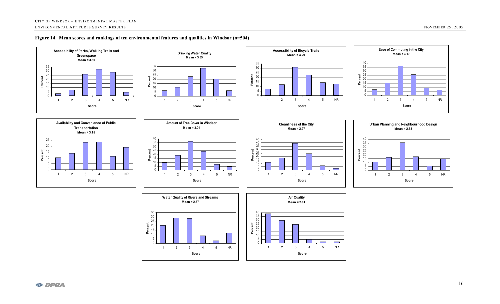

### **Figure 14**. **Mean scores and rankings of ten environmental features and qualities in Windsor (n=504)**





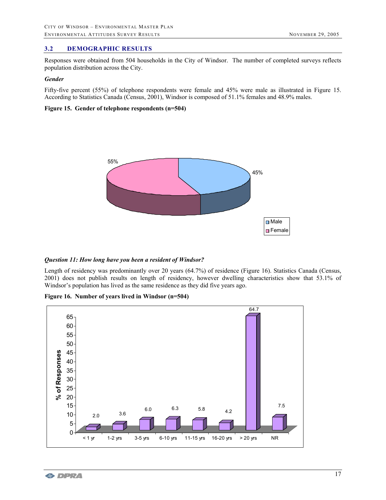# **3.2 DEMOGRAPHIC RESULTS**

Responses were obtained from 504 households in the City of Windsor. The number of completed surveys reflects population distribution across the City.

#### *Gender*

Fifty-five percent (55%) of telephone respondents were female and 45% were male as illustrated in Figure 15. According to Statistics Canada (Census, 2001), Windsor is composed of 51.1% females and 48.9% males.

#### **Figure 15. Gender of telephone respondents (n=504)**



#### *Question 11: How long have you been a resident of Windsor?*

Length of residency was predominantly over 20 years (64.7%) of residence (Figure 16). Statistics Canada (Census, 2001) does not publish results on length of residency, however dwelling characteristics show that 53.1% of Windsor's population has lived as the same residence as they did five years ago.

**Figure 16. Number of years lived in Windsor (n=504)** 

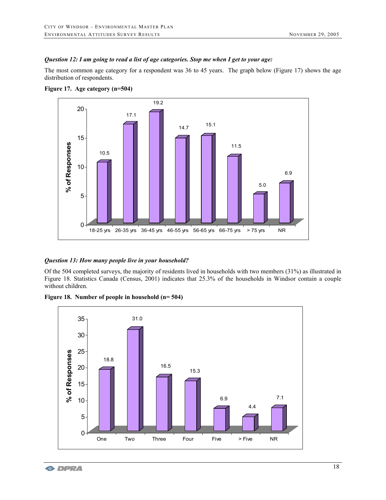#### *Question 12: I am going to read a list of age categories. Stop me when I get to your age:*

The most common age category for a respondent was 36 to 45 years. The graph below (Figure 17) shows the age distribution of respondents.



**Figure 17. Age category (n=504)** 

# *Question 13: How many people live in your household?*

Of the 504 completed surveys, the majority of residents lived in households with two members (31%) as illustrated in Figure 18. Statistics Canada (Census, 2001) indicates that 25.3% of the households in Windsor contain a couple without children.

**Figure 18. Number of people in household (n= 504)** 

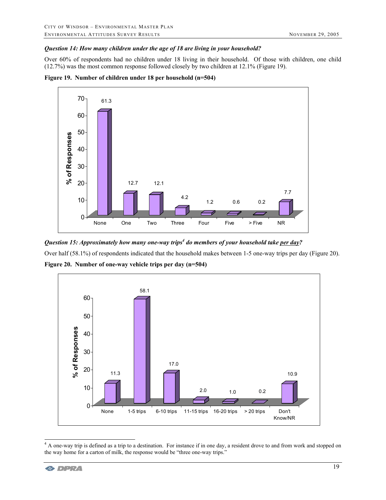### *Question 14: How many children under the age of 18 are living in your household?*

Over 60% of respondents had no children under 18 living in their household. Of those with children, one child (12.7%) was the most common response followed closely by two children at 12.1% (Figure 19).





Question 15: Approximately how many one-way trips<sup>4</sup> do members of your household take <u>per day</u>?

Over half (58.1%) of respondents indicated that the household makes between 1-5 one-way trips per day (Figure 20).



**Figure 20. Number of one-way vehicle trips per day (n=504)** 

<sup>&</sup>lt;sup>4</sup> A one-way trip is defined as a trip to a destination. For instance if in one day, a resident drove to and from work and stopped on the way home for a carton of milk, the response would be "three one-way trips."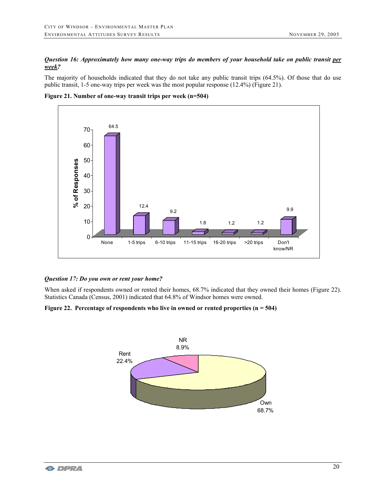# *Question 16: Approximately how many one-way trips do members of your household take on public transit per week?*

The majority of households indicated that they do not take any public transit trips (64.5%). Of those that do use public transit, 1-5 one-way trips per week was the most popular response (12.4%) (Figure 21).





### *Question 17: Do you own or rent your home?*

When asked if respondents owned or rented their homes, 68.7% indicated that they owned their homes (Figure 22). Statistics Canada (Census, 2001) indicated that 64.8% of Windsor homes were owned.

### **Figure 22. Percentage of respondents who live in owned or rented properties (n = 504)**

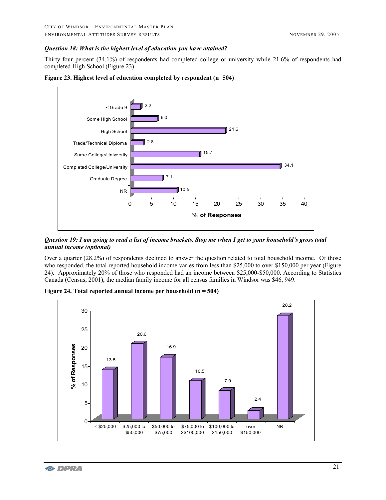### *Question 18: What is the highest level of education you have attained?*

Thirty-four percent (34.1%) of respondents had completed college or university while 21.6% of respondents had completed High School (Figure 23).



**Figure 23. Highest level of education completed by respondent (n=504)** 

*Question 19: I am going to read a list of income brackets. Stop me when I get to your household's gross total annual income (optional)* 

Over a quarter (28.2%) of respondents declined to answer the question related to total household income. Of those who responded, the total reported household income varies from less than \$25,000 to over \$150,000 per year (Figure 24)**.** Approximately 20% of those who responded had an income between \$25,000-\$50,000. According to Statistics Canada (Census, 2001), the median family income for all census families in Windsor was \$46, 949.



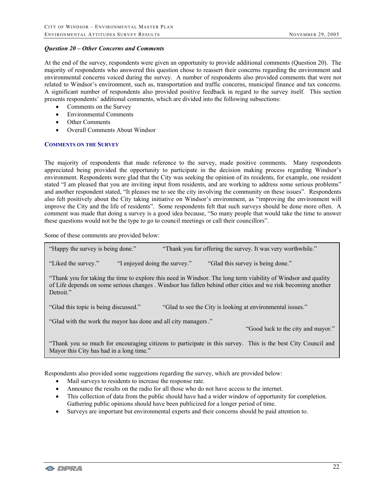#### *Question 20 – Other Concerns and Comments*

At the end of the survey, respondents were given an opportunity to provide additional comments (Question 20). The majority of respondents who answered this question chose to reassert their concerns regarding the environment and environmental concerns voiced during the survey. A number of respondents also provided comments that were not related to Windsor's environment, such as, transportation and traffic concerns, municipal finance and tax concerns. A significant number of respondents also provided positive feedback in regard to the survey itself. This section presents respondents' additional comments, which are divided into the following subsections:

- Comments on the Survey
- Environmental Comments
- **Other Comments**
- Overall Comments About Windsor

#### **COMMENTS ON THE SURVEY**

The majority of respondents that made reference to the survey, made positive comments. Many respondents appreciated being provided the opportunity to participate in the decision making process regarding Windsor's environment. Respondents were glad that the City was seeking the opinion of its residents, for example, one resident stated "I am pleased that you are inviting input from residents, and are working to address some serious problems" and another respondent stated, "It pleases me to see the city involving the community on these issues". Respondents also felt positively about the City taking initiative on Windsor's environment, as "improving the environment will improve the City and the life of residents". Some respondents felt that such surveys should be done more often. A comment was made that doing a survey is a good idea because, "So many people that would take the time to answer these questions would not be the type to go to council meetings or call their councillors".

Some of these comments are provided below:

| "Happy the survey is being done."                                                                                                                                                                                                           |                               | "Thank you for offering the survey. It was very worthwhile."                                                 |  |  |  |
|---------------------------------------------------------------------------------------------------------------------------------------------------------------------------------------------------------------------------------------------|-------------------------------|--------------------------------------------------------------------------------------------------------------|--|--|--|
| "Liked the survey."                                                                                                                                                                                                                         | "I enjoyed doing the survey." | "Glad this survey is being done."                                                                            |  |  |  |
| "Thank you for taking the time to explore this need in Windsor. The long term viability of Windsor and quality<br>of Life depends on some serious changes. Windsor has fallen behind other cities and we risk becoming another<br>Detroit." |                               |                                                                                                              |  |  |  |
| "Glad to see the City is looking at environmental issues."<br>"Glad this topic is being discussed."                                                                                                                                         |                               |                                                                                                              |  |  |  |
| "Glad with the work the mayor has done and all city managers."<br>"Good luck to the city and mayor."                                                                                                                                        |                               |                                                                                                              |  |  |  |
| Mayor this City has had in a long time."                                                                                                                                                                                                    |                               | "Thank you so much for encouraging citizens to participate in this survey. This is the best City Council and |  |  |  |

Respondents also provided some suggestions regarding the survey, which are provided below:

- Mail surveys to residents to increase the response rate.
- Announce the results on the radio for all those who do not have access to the internet.
- This collection of data from the public should have had a wider window of opportunity for completion. Gathering public opinions should have been publicized for a longer period of time.
- Surveys are important but environmental experts and their concerns should be paid attention to.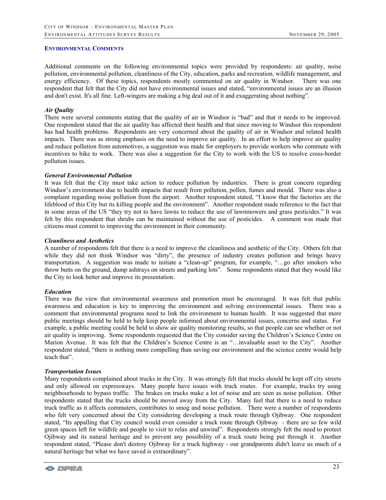#### **ENVIRONMENTAL COMMENTS**

Additional comments on the following environmental topics were provided by respondents: air quality, noise pollution, environmental pollution, cleanliness of the City, education, parks and recreation, wildlife management, and energy efficiency. Of these topics, respondents mostly commented on air quality in Windsor. There was one respondent that felt that the City did not have environmental issues and stated, "environmental issues are an illusion and don't exist. It's all fine. Left-wingers are making a big deal out of it and exaggerating about nothing".

#### *Air Quality*

There were several comments stating that the quality of air in Windsor is "bad" and that it needs to be improved. One respondent stated that the air quality has affected their health and that since moving to Windsor this respondent has had health problems. Respondents are very concerned about the quality of air in Windsor and related health impacts. There was as strong emphasis on the need to improve air quality. In an effort to help improve air quality and reduce pollution from automotives, a suggestion was made for employers to provide workers who commute with incentives to bike to work. There was also a suggestion for the City to work with the US to resolve cross-border pollution issues.

#### *General Environmental Pollution*

It was felt that the City must take action to reduce pollution by industries. There is great concern regarding Windsor's environment due to health impacts that result from pollution, pollen, fumes and mould. There was also a complaint regarding noise pollution from the airport. Another respondent stated, "I know that the factories are the lifeblood of this City but its killing people and the environment". Another respondent made reference to the fact that in some areas of the US "they try not to have lawns to reduce the use of lawnmowers and grass pesticides." It was felt by this respondent that shrubs can be maintained without the use of pesticides. A comment was made that citizens must commit to improving the environment in their community.

#### *Cleanliness and Aesthetics*

A number of respondents felt that there is a need to improve the cleanliness and aesthetic of the City. Others felt that while they did not think Windsor was "dirty", the presence of industry creates pollution and brings heavy transportation. A suggestion was made to initiate a "clean-up" program, for example, "…go after smokers who throw butts on the ground, dump ashtrays on streets and parking lots". Some respondents stated that they would like the City to look better and improve its presentation.

### *Education*

There was the view that environmental awareness and promotion must be encouraged. It was felt that public awareness and education is key to improving the environment and solving environmental issues. There was a comment that environmental programs need to link the environment to human health. It was suggested that more public meetings should be held to help keep people informed about environmental issues, concerns and status. For example, a public meeting could be held to show air quality monitoring results, so that people can see whether or not air quality is improving. Some respondents requested that the City consider saving the Children's Science Centre on Marion Avenue. It was felt that the Children's Science Centre is an "…invaluable asset to the City". Another respondent stated, "there is nothing more compelling than saving our environment and the science centre would help teach that".

#### *Transportation Issues*

Many respondents complained about trucks in the City. It was strongly felt that trucks should be kept off city streets and only allowed on expressways. Many people have issues with truck routes. For example, trucks try using neighbourhoods to bypass traffic. The brakes on trucks make a lot of noise and are seen as noise pollution. Other respondents stated that the trucks should be moved away from the City. Many feel that there is a need to reduce truck traffic as it affects commuters, contributes to smog and noise pollution. There were a number of respondents who felt very concerned about the City considering developing a truck route through Ojibway. One respondent stated, "Its appalling that City council would even consider a truck route through Ojibway - there are so few wild green spaces left for wildlife and people to visit to relax and unwind". Respondents strongly felt the need to protect Ojibway and its natural heritage and to prevent any possibility of a truck route being put through it. Another respondent stated, "Please don't destroy Ojibway for a truck highway - our grandparents didn't leave us much of a natural heritage but what we have saved is extraordinary".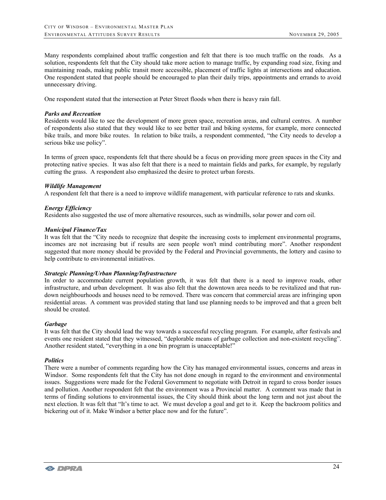Many respondents complained about traffic congestion and felt that there is too much traffic on the roads. As a solution, respondents felt that the City should take more action to manage traffic, by expanding road size, fixing and maintaining roads, making public transit more accessible, placement of traffic lights at intersections and education. One respondent stated that people should be encouraged to plan their daily trips, appointments and errands to avoid unnecessary driving.

One respondent stated that the intersection at Peter Street floods when there is heavy rain fall.

#### *Parks and Recreation*

Residents would like to see the development of more green space, recreation areas, and cultural centres. A number of respondents also stated that they would like to see better trail and biking systems, for example, more connected bike trails, and more bike routes. In relation to bike trails, a respondent commented, "the City needs to develop a serious bike use policy".

In terms of green space, respondents felt that there should be a focus on providing more green spaces in the City and protecting native species. It was also felt that there is a need to maintain fields and parks, for example, by regularly cutting the grass. A respondent also emphasized the desire to protect urban forests.

#### *Wildlife Management*

A respondent felt that there is a need to improve wildlife management, with particular reference to rats and skunks.

#### *Energy Efficiency*

Residents also suggested the use of more alternative resources, such as windmills, solar power and corn oil.

#### *Municipal Finance/Tax*

It was felt that the "City needs to recognize that despite the increasing costs to implement environmental programs, incomes are not increasing but if results are seen people won't mind contributing more". Another respondent suggested that more money should be provided by the Federal and Provincial governments, the lottery and casino to help contribute to environmental initiatives.

#### *Strategic Planning/Urban Planning/Infrastructure*

In order to accommodate current population growth, it was felt that there is a need to improve roads, other infrastructure, and urban development. It was also felt that the downtown area needs to be revitalized and that rundown neighbourhoods and houses need to be removed. There was concern that commercial areas are infringing upon residential areas. A comment was provided stating that land use planning needs to be improved and that a green belt should be created.

#### *Garbage*

It was felt that the City should lead the way towards a successful recycling program. For example, after festivals and events one resident stated that they witnessed, "deplorable means of garbage collection and non-existent recycling". Another resident stated, "everything in a one bin program is unacceptable!"

#### *Politics*

There were a number of comments regarding how the City has managed environmental issues, concerns and areas in Windsor. Some respondents felt that the City has not done enough in regard to the environment and environmental issues. Suggestions were made for the Federal Government to negotiate with Detroit in regard to cross border issues and pollution. Another respondent felt that the environment was a Provincial matter. A comment was made that in terms of finding solutions to environmental issues, the City should think about the long term and not just about the next election. It was felt that "It's time to act. We must develop a goal and get to it. Keep the backroom politics and bickering out of it. Make Windsor a better place now and for the future".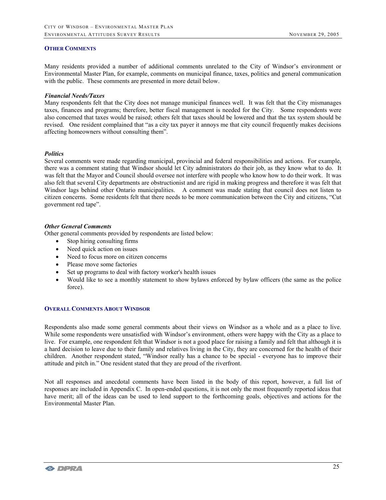#### **OTHER COMMENTS**

Many residents provided a number of additional comments unrelated to the City of Windsor's environment or Environmental Master Plan, for example, comments on municipal finance, taxes, politics and general communication with the public. These comments are presented in more detail below.

#### *Financial Needs/Taxes*

Many respondents felt that the City does not manage municipal finances well. It was felt that the City mismanages taxes, finances and programs; therefore, better fiscal management is needed for the City. Some respondents were also concerned that taxes would be raised; others felt that taxes should be lowered and that the tax system should be revised. One resident complained that "as a city tax payer it annoys me that city council frequently makes decisions affecting homeowners without consulting them".

#### *Politics*

Several comments were made regarding municipal, provincial and federal responsibilities and actions. For example, there was a comment stating that Windsor should let City administrators do their job, as they know what to do. It was felt that the Mayor and Council should oversee not interfere with people who know how to do their work. It was also felt that several City departments are obstructionist and are rigid in making progress and therefore it was felt that Windsor lags behind other Ontario municipalities. A comment was made stating that council does not listen to citizen concerns. Some residents felt that there needs to be more communication between the City and citizens, "Cut government red tape".

#### *Other General Comments*

Other general comments provided by respondents are listed below:

- Stop hiring consulting firms
- Need quick action on issues
- Need to focus more on citizen concerns
- Please move some factories
- Set up programs to deal with factory worker's health issues
- Would like to see a monthly statement to show bylaws enforced by bylaw officers (the same as the police force).

#### **OVERALL COMMENTS ABOUT WINDSOR**

Respondents also made some general comments about their views on Windsor as a whole and as a place to live. While some respondents were unsatisfied with Windsor's environment, others were happy with the City as a place to live. For example, one respondent felt that Windsor is not a good place for raising a family and felt that although it is a hard decision to leave due to their family and relatives living in the City, they are concerned for the health of their children. Another respondent stated, "Windsor really has a chance to be special - everyone has to improve their attitude and pitch in." One resident stated that they are proud of the riverfront.

Not all responses and anecdotal comments have been listed in the body of this report, however, a full list of responses are included in Appendix C. In open-ended questions, it is not only the most frequently reported ideas that have merit; all of the ideas can be used to lend support to the forthcoming goals, objectives and actions for the Environmental Master Plan.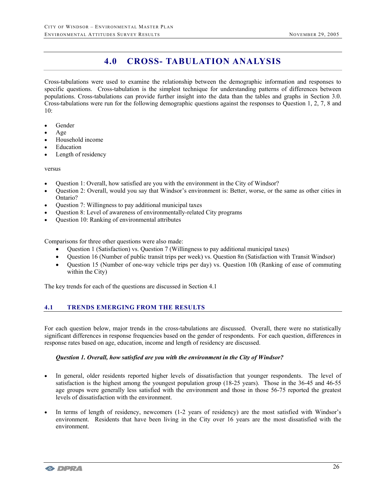# **4.0 CROSS- TABULATION ANALYSIS**

Cross-tabulations were used to examine the relationship between the demographic information and responses to specific questions. Cross-tabulation is the simplest technique for understanding patterns of differences between populations. Cross-tabulations can provide further insight into the data than the tables and graphs in Section 3.0. Cross-tabulations were run for the following demographic questions against the responses to Question 1, 2, 7, 8 and  $10:$ 

- Gender
- Age
- Household income
- **Education**
- Length of residency

versus

- Question 1: Overall, how satisfied are you with the environment in the City of Windsor?
- Question 2: Overall, would you say that Windsor's environment is: Better, worse, or the same as other cities in Ontario?
- Question 7: Willingness to pay additional municipal taxes
- Question 8: Level of awareness of environmentally-related City programs
- Question 10: Ranking of environmental attributes

Comparisons for three other questions were also made:

- Question 1 (Satisfaction) vs. Question 7 (Willingness to pay additional municipal taxes)
- Question 16 (Number of public transit trips per week) vs. Question 8n (Satisfaction with Transit Windsor)
- Question 15 (Number of one-way vehicle trips per day) vs. Question 10h (Ranking of ease of commuting within the City)

The key trends for each of the questions are discussed in Section 4.1

# **4.1 TRENDS EMERGING FROM THE RESULTS**

For each question below, major trends in the cross-tabulations are discussed. Overall, there were no statistically significant differences in response frequencies based on the gender of respondents. For each question, differences in response rates based on age, education, income and length of residency are discussed.

#### *Question 1. Overall, how satisfied are you with the environment in the City of Windsor?*

- In general, older residents reported higher levels of dissatisfaction that younger respondents. The level of satisfaction is the highest among the youngest population group (18-25 years). Those in the 36-45 and 46-55 age groups were generally less satisfied with the environment and those in those 56-75 reported the greatest levels of dissatisfaction with the environment.
- In terms of length of residency, newcomers (1-2 years of residency) are the most satisfied with Windsor's environment. Residents that have been living in the City over 16 years are the most dissatisfied with the environment.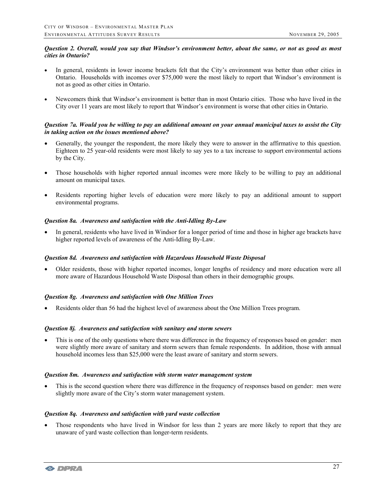### *Question 2. Overall, would you say that Windsor's environment better, about the same, or not as good as most cities in Ontario?*

- In general, residents in lower income brackets felt that the City's environment was better than other cities in Ontario. Households with incomes over \$75,000 were the most likely to report that Windsor's environment is not as good as other cities in Ontario.
- Newcomers think that Windsor's environment is better than in most Ontario cities. Those who have lived in the City over 11 years are most likely to report that Windsor's environment is worse that other cities in Ontario.

#### *Question 7a. Would you be willing to pay an additional amount on your annual municipal taxes to assist the City in taking action on the issues mentioned above?*

- Generally, the younger the respondent, the more likely they were to answer in the affirmative to this question. Eighteen to 25 year-old residents were most likely to say yes to a tax increase to support environmental actions by the City.
- Those households with higher reported annual incomes were more likely to be willing to pay an additional amount on municipal taxes.
- Residents reporting higher levels of education were more likely to pay an additional amount to support environmental programs.

### *Question 8a. Awareness and satisfaction with the Anti-Idling By-Law*

• In general, residents who have lived in Windsor for a longer period of time and those in higher age brackets have higher reported levels of awareness of the Anti-Idling By-Law.

### *Question 8d. Awareness and satisfaction with Hazardous Household Waste Disposal*

• Older residents, those with higher reported incomes, longer lengths of residency and more education were all more aware of Hazardous Household Waste Disposal than others in their demographic groups.

### *Question 8g. Awareness and satisfaction with One Million Trees*

• Residents older than 56 had the highest level of awareness about the One Million Trees program.

### *Question 8j. Awareness and satisfaction with sanitary and storm sewers*

• This is one of the only questions where there was difference in the frequency of responses based on gender: men were slightly more aware of sanitary and storm sewers than female respondents. In addition, those with annual household incomes less than \$25,000 were the least aware of sanitary and storm sewers.

#### *Question 8m. Awareness and satisfaction with storm water management system*

• This is the second question where there was difference in the frequency of responses based on gender: men were slightly more aware of the City's storm water management system.

#### *Question 8q. Awareness and satisfaction with yard waste collection*

Those respondents who have lived in Windsor for less than 2 years are more likely to report that they are unaware of yard waste collection than longer-term residents.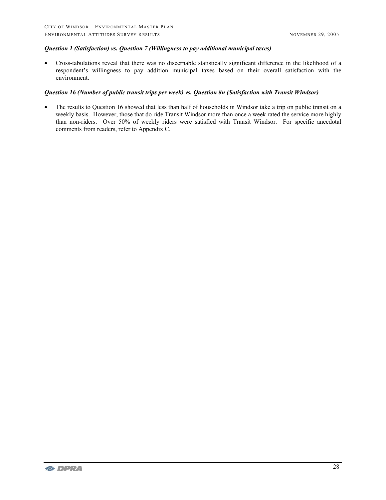#### *Question 1 (Satisfaction) vs. Question 7 (Willingness to pay additional municipal taxes)*

• Cross-tabulations reveal that there was no discernable statistically significant difference in the likelihood of a respondent's willingness to pay addition municipal taxes based on their overall satisfaction with the environment.

#### *Question 16 (Number of public transit trips per week) vs. Question 8n (Satisfaction with Transit Windsor)*

• The results to Question 16 showed that less than half of households in Windsor take a trip on public transit on a weekly basis. However, those that do ride Transit Windsor more than once a week rated the service more highly than non-riders. Over 50% of weekly riders were satisfied with Transit Windsor. For specific anecdotal comments from readers, refer to Appendix C.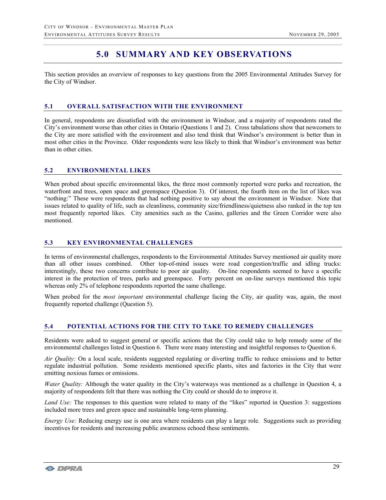# **5.0 SUMMARY AND KEY OBSERVATIONS**

This section provides an overview of responses to key questions from the 2005 Environmental Attitudes Survey for the City of Windsor.

## **5.1 OVERALL SATISFACTION WITH THE ENVIRONMENT**

In general, respondents are dissatisfied with the environment in Windsor, and a majority of respondents rated the City's environment worse than other cities in Ontario (Questions 1 and 2). Cross tabulations show that newcomers to the City are more satisfied with the environment and also tend think that Windsor's environment is better than in most other cities in the Province. Older respondents were less likely to think that Windsor's environment was better than in other cities.

### **5.2 ENVIRONMENTAL LIKES**

When probed about specific environmental likes, the three most commonly reported were parks and recreation, the waterfront and trees, open space and greenspace (Question 3). Of interest, the fourth item on the list of likes was "nothing:" These were respondents that had nothing positive to say about the environment in Windsor. Note that issues related to quality of life, such as cleanliness, community size/friendliness/quietness also ranked in the top ten most frequently reported likes. City amenities such as the Casino, galleries and the Green Corridor were also mentioned.

# **5.3 KEY ENVIRONMENTAL CHALLENGES**

In terms of environmental challenges, respondents to the Environmental Attitudes Survey mentioned air quality more than all other issues combined. Other top-of-mind issues were road congestion/traffic and idling trucks: interestingly, these two concerns contribute to poor air quality. On-line respondents seemed to have a specific interest in the protection of trees, parks and greenspace. Forty percent on on-line surveys mentioned this topic whereas only 2% of telephone respondents reported the same challenge.

When probed for the *most important* environmental challenge facing the City, air quality was, again, the most frequently reported challenge (Question 5).

# **5.4 POTENTIAL ACTIONS FOR THE CITY TO TAKE TO REMEDY CHALLENGES**

Residents were asked to suggest general or specific actions that the City could take to help remedy some of the environmental challenges listed in Question 6. There were many interesting and insightful responses to Question 6.

*Air Quality:* On a local scale, residents suggested regulating or diverting traffic to reduce emissions and to better regulate industrial pollution. Some residents mentioned specific plants, sites and factories in the City that were emitting noxious fumes or emissions.

*Water Quality:* Although the water quality in the City's waterways was mentioned as a challenge in Question 4, a majority of respondents felt that there was nothing the City could or should do to improve it.

*Land Use:* The responses to this question were related to many of the "likes" reported in Question 3: suggestions included more trees and green space and sustainable long-term planning.

*Energy Use:* Reducing energy use is one area where residents can play a large role. Suggestions such as providing incentives for residents and increasing public awareness echoed these sentiments.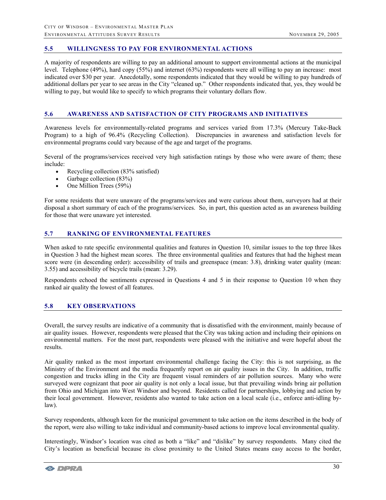# **5.5 WILLINGNESS TO PAY FOR ENVIRONMENTAL ACTIONS**

A majority of respondents are willing to pay an additional amount to support environmental actions at the municipal level. Telephone (49%), hard copy (55%) and internet (63%) respondents were all willing to pay an increase: most indicated over \$30 per year. Anecdotally, some respondents indicated that they would be willing to pay hundreds of additional dollars per year to see areas in the City "cleaned up." Other respondents indicated that, yes, they would be willing to pay, but would like to specify to which programs their voluntary dollars flow.

### **5.6 AWARENESS AND SATISFACTION OF CITY PROGRAMS AND INITIATIVES**

Awareness levels for environmentally-related programs and services varied from 17.3% (Mercury Take-Back Program) to a high of 96.4% (Recycling Collection). Discrepancies in awareness and satisfaction levels for environmental programs could vary because of the age and target of the programs.

Several of the programs/services received very high satisfaction ratings by those who were aware of them; these include:

- Recycling collection (83% satisfied)
- Garbage collection (83%)
- One Million Trees (59%)

For some residents that were unaware of the programs/services and were curious about them, surveyors had at their disposal a short summary of each of the programs/services. So, in part, this question acted as an awareness building for those that were unaware yet interested.

# **5.7 RANKING OF ENVIRONMENTAL FEATURES**

When asked to rate specific environmental qualities and features in Question 10, similar issues to the top three likes in Question 3 had the highest mean scores. The three environmental qualities and features that had the highest mean score were (in descending order): accessibility of trails and greenspace (mean: 3.8), drinking water quality (mean: 3.55) and accessibility of bicycle trails (mean: 3.29).

Respondents echoed the sentiments expressed in Questions 4 and 5 in their response to Question 10 when they ranked air quality the lowest of all features.

# **5.8 KEY OBSERVATIONS**

Overall, the survey results are indicative of a community that is dissatisfied with the environment, mainly because of air quality issues. However, respondents were pleased that the City was taking action and including their opinions on environmental matters. For the most part, respondents were pleased with the initiative and were hopeful about the results.

Air quality ranked as the most important environmental challenge facing the City: this is not surprising, as the Ministry of the Environment and the media frequently report on air quality issues in the City. In addition, traffic congestion and trucks idling in the City are frequent visual reminders of air pollution sources. Many who were surveyed were cognizant that poor air quality is not only a local issue, but that prevailing winds bring air pollution from Ohio and Michigan into West Windsor and beyond. Residents called for partnerships, lobbying and action by their local government. However, residents also wanted to take action on a local scale (i.e., enforce anti-idling bylaw).

Survey respondents, although keen for the municipal government to take action on the items described in the body of the report, were also willing to take individual and community-based actions to improve local environmental quality.

Interestingly, Windsor's location was cited as both a "like" and "dislike" by survey respondents. Many cited the City's location as beneficial because its close proximity to the United States means easy access to the border,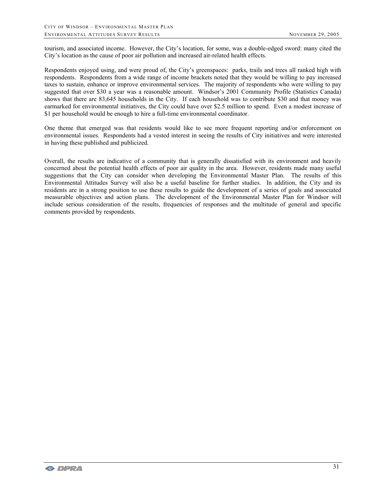tourism, and associated income. However, the City's location, for some, was a double-edged sword: many cited the City's location as the cause of poor air pollution and increased air-related health effects.

Respondents enjoyed using, and were proud of, the City's greenspaces: parks, trails and trees all ranked high with respondents. Respondents from a wide range of income brackets noted that they would be willing to pay increased taxes to sustain, enhance or improve environmental services. The majority of respondents who were willing to pay suggested that over \$30 a year was a reasonable amount. Windsor's 2001 Community Profile (Statistics Canada) shows that there are 83,645 households in the City. If each household was to contribute \$30 and that money was earmarked for environmental initiatives, the City could have over \$2.5 million to spend. Even a modest increase of \$1 per household would be enough to hire a full-time environmental coordinator.

One theme that emerged was that residents would like to see more frequent reporting and/or enforcement on environmental issues. Respondents had a vested interest in seeing the results of City initiatives and were interested in having these published and publicized.

Overall, the results are indicative of a community that is generally dissatisfied with its environment and heavily concerned about the potential health effects of poor air quality in the area. However, residents made many useful suggestions that the City can consider when developing the Environmental Master Plan. The results of this Environmental Attitudes Survey will also be a useful baseline for further studies. In addition, the City and its residents are in a strong position to use these results to guide the development of a series of goals and associated measurable objectives and action plans. The development of the Environmental Master Plan for Windsor will include serious consideration of the results, frequencies of responses and the multitude of general and specific comments provided by respondents.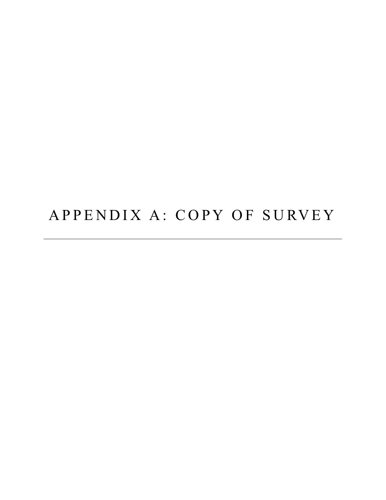# APPENDIX A: COPY OF SURVEY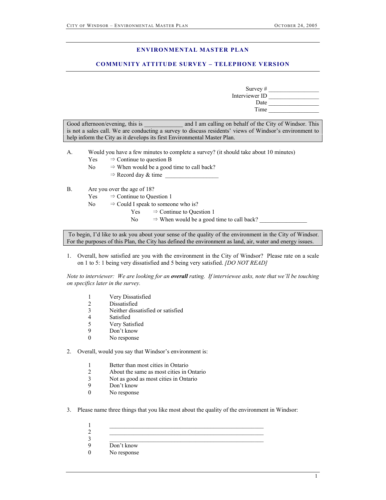#### **ENVIRONMENTAL MASTER PLAN**

## **COMMUNITY ATTITUDE SURVEY – TELEPHONE VERSION**

Survey # Interviewer ID \_\_\_\_\_\_\_\_\_\_\_\_\_\_\_\_\_ Date Time \_\_\_\_\_\_\_\_\_\_\_\_\_\_\_\_\_

Good afternoon/evening, this is and I am calling on behalf of the City of Windsor. This is not a sales call. We are conducting a survey to discuss residents' views of Windsor's environment to help inform the City as it develops its first Environmental Master Plan.

- A. Would you have a few minutes to complete a survey? (it should take about 10 minutes)
	- $Yes$   $\Rightarrow$  Continue to question B
	- No  $\Rightarrow$  When would be a good time to call back?
		- $\Rightarrow$  Record day & time

#### B. Are you over the age of 18?

- $Yes$   $\Rightarrow$  Continue to Question 1
- No  $\Rightarrow$  Could I speak to someone who is?
	- $Yes$   $\Rightarrow$  Continue to Question 1
	- No  $\Rightarrow$  When would be a good time to call back?

 To begin, I'd like to ask you about your sense of the quality of the environment in the City of Windsor. For the purposes of this Plan, the City has defined the environment as land, air, water and energy issues.

1. Overall, how satisfied are you with the environment in the City of Windsor? Please rate on a scale on 1 to 5: 1 being very dissatisfied and 5 being very satisfied. *[DO NOT READ]*

*Note to interviewer: We are looking for an overall rating. If interviewee asks, note that we'll be touching on specifics later in the survey.* 

- 1 Very Dissatisfied
- 2 Dissatisfied
- 3 Neither dissatisfied or satisfied
- **Satisfied**
- 5 Very Satisfied<br>9 Don't know
- Don't know
- 0 No response

2. Overall, would you say that Windsor's environment is:

- 1 Better than most cities in Ontario
- 2 About the same as most cities in Ontario
- 3 Not as good as most cities in Ontario
- 9 Don't know<br>0 No response
- No response

3. Please name three things that you like most about the quality of the environment in Windsor:

| Don't know  |  |
|-------------|--|
| No response |  |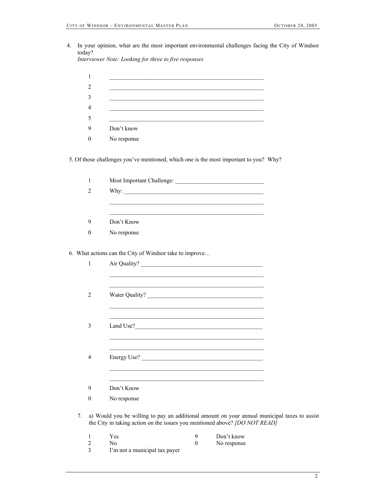4. In your opinion, what are the most important environmental challenges facing the City of Windsor today? *Interviewer Note: Looking for three to five responses* 

| $\mathbf{1}$     |                                                                                                                                                                            |  |
|------------------|----------------------------------------------------------------------------------------------------------------------------------------------------------------------------|--|
| 2                |                                                                                                                                                                            |  |
| 3                |                                                                                                                                                                            |  |
| $\overline{4}$   |                                                                                                                                                                            |  |
| 5                |                                                                                                                                                                            |  |
| 9                | Don't know                                                                                                                                                                 |  |
| $\boldsymbol{0}$ | No response                                                                                                                                                                |  |
|                  | 5. Of those challenges you've mentioned, which one is the most important to you? Why?                                                                                      |  |
| $\mathbf{1}$     |                                                                                                                                                                            |  |
| $\overline{2}$   |                                                                                                                                                                            |  |
|                  |                                                                                                                                                                            |  |
| 9                | Don't Know                                                                                                                                                                 |  |
| $\boldsymbol{0}$ | No response                                                                                                                                                                |  |
|                  |                                                                                                                                                                            |  |
|                  | 6. What actions can the City of Windsor take to improve                                                                                                                    |  |
| $\mathbf{1}$     |                                                                                                                                                                            |  |
|                  | <u> 1989 - Jan Andrea Stein, amerikan bestean ing disebut di pangangan di pangangan di pangangan di pangangan di </u>                                                      |  |
| $\overline{2}$   | Water Quality?                                                                                                                                                             |  |
|                  |                                                                                                                                                                            |  |
| 3                |                                                                                                                                                                            |  |
|                  |                                                                                                                                                                            |  |
| 4                | Energy Use?                                                                                                                                                                |  |
|                  |                                                                                                                                                                            |  |
| 9                | Don't Know                                                                                                                                                                 |  |
| $\boldsymbol{0}$ | No response                                                                                                                                                                |  |
| 7.               | a) Would you be willing to pay an additional amount on your annual municipal taxes to assist<br>the City in taking action on the issues you mentioned above? [DO NOT READ] |  |
|                  |                                                                                                                                                                            |  |

- 
- 1 Yes 9 Don't know<br>
2 No 0 No response<br>
3 I'm not a municipal tax payer No No response and No response
	- I'm not a municipal tax payer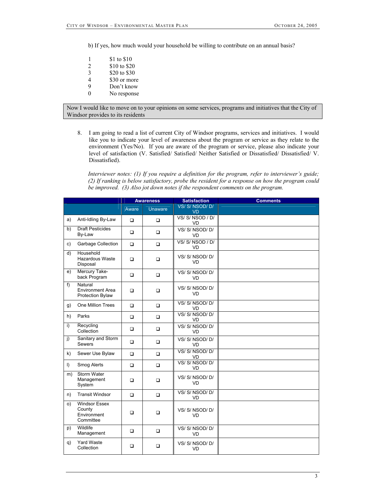b) If yes, how much would your household be willing to contribute on an annual basis?

| 1 | \$1 to \$10  |
|---|--------------|
| 2 | \$10 to \$20 |
| 3 | \$20 to \$30 |
| 4 | \$30 or more |
| 9 | Don't know   |
| 0 | No response  |

Now I would like to move on to your opinions on some services, programs and initiatives that the City of Windsor provides to its residents

8. I am going to read a list of current City of Windsor programs, services and initiatives. I would like you to indicate your level of awareness about the program or service as they relate to the environment (Yes/No). If you are aware of the program or service, please also indicate your level of satisfaction (V. Satisfied/ Satisfied/ Neither Satisfied or Dissatisfied/ Dissatisfied/ V. Dissatisfied).

*Interviewer notes: (1) If you require a definition for the program, refer to interviewer's guide; (2) If ranking is below satisfactory, probe the resident for a response on how the program could be improved. (3) Also jot down notes if the respondent comments on the program.* 

|                |                                                               | <b>Awareness</b> |                | <b>Satisfaction</b>       | <b>Comments</b> |
|----------------|---------------------------------------------------------------|------------------|----------------|---------------------------|-----------------|
|                |                                                               | Aware            | <b>Unaware</b> | VS/S/NSOD/D/<br><b>VD</b> |                 |
| a)             | Anti-Idling By-Law                                            | $\Box$           | $\Box$         | VS/S/NSOD/D/<br><b>VD</b> |                 |
| b)             | <b>Draft Pesticides</b><br>By-Law                             | $\Box$           | $\Box$         | VS/S/NSOD/D/<br>VD        |                 |
| c)             | Garbage Collection                                            | $\Box$           | $\Box$         | VS/S/NSOD/D/<br><b>VD</b> |                 |
| d)             | Household<br>Hazardous Waste<br>Disposal                      | $\Box$           | $\Box$         | VS/S/NSOD/D/<br>VD        |                 |
| e)             | Mercury Take-<br>back Program                                 | $\Box$           | $\Box$         | VS/S/NSOD/D/<br><b>VD</b> |                 |
| $f$ )          | Natural<br><b>Environment Area</b><br><b>Protection Bylaw</b> | $\Box$           | $\Box$         | VS/S/NSOD/D/<br><b>VD</b> |                 |
| g)             | One Million Trees                                             | $\Box$           | $\Box$         | VS/S/NSOD/D/<br><b>VD</b> |                 |
| h)             | Parks                                                         | $\Box$           | $\Box$         | VS/S/NSOD/D/<br>VD        |                 |
| $\overline{1}$ | Recycling<br>Collection                                       | $\Box$           | $\Box$         | VS/S/NSOD/D/<br>VD        |                 |
| $\mathbf{i}$   | Sanitary and Storm<br>Sewers                                  | $\Box$           | $\Box$         | VS/S/NSOD/D/<br>VD        |                 |
| k)             | Sewer Use Bylaw                                               | $\Box$           | $\Box$         | VS/S/NSOD/D/<br><b>VD</b> |                 |
| $\vert$ )      | Smog Alerts                                                   | $\Box$           | $\Box$         | VS/S/NSOD/D/<br>VD        |                 |
| m)             | Storm Water<br>Management<br>System                           | $\Box$           | $\Box$         | VS/S/NSOD/D/<br><b>VD</b> |                 |
| n)             | <b>Transit Windsor</b>                                        | $\Box$           | $\Box$         | VS/S/NSOD/D/<br><b>VD</b> |                 |
| O)             | <b>Windsor Essex</b><br>County<br>Environment<br>Committee    | $\Box$           | □              | VS/S/NSOD/D/<br><b>VD</b> |                 |
| p)             | Wildlife<br>Management                                        | $\Box$           | $\Box$         | VS/S/NSOD/D/<br><b>VD</b> |                 |
| q)             | <b>Yard Waste</b><br>Collection                               | $\Box$           | $\Box$         | VS/S/NSOD/D/<br><b>VD</b> |                 |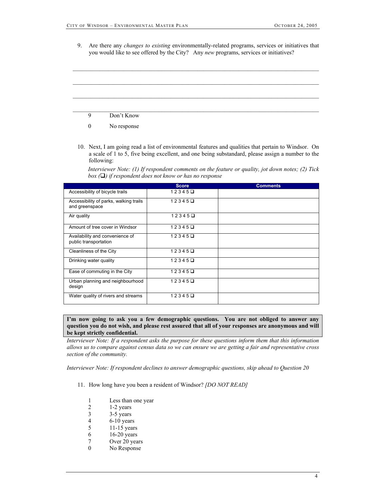9. Are there any *changes to existing* environmentally-related programs, services or initiatives that you would like to see offered by the City? Any *new* programs, services or initiatives?



10. Next, I am going read a list of environmental features and qualities that pertain to Windsor. On a scale of 1 to 5, five being excellent, and one being substandard, please assign a number to the following:

*Interviewer Note: (1) If respondent comments on the feature or quality, jot down notes; (2) Tick box () if respondent does not know or has no response* 

|                                                          | <b>Score</b>    | <b>Comments</b> |
|----------------------------------------------------------|-----------------|-----------------|
| Accessibility of bicycle trails                          | $12345 \square$ |                 |
| Accessibility of parks, walking trails<br>and greenspace | $12345 \square$ |                 |
| Air quality                                              | $12345 \square$ |                 |
| Amount of tree cover in Windsor                          | $12345 \Box$    |                 |
| Availability and convenience of<br>public transportation | $12345 \square$ |                 |
| Cleanliness of the City                                  | $12345 \square$ |                 |
| Drinking water quality                                   | $12345 \square$ |                 |
| Ease of commuting in the City                            | $12345 \square$ |                 |
| Urban planning and neighbourhood<br>design               | $12345 \square$ |                 |
| Water quality of rivers and streams                      | $12345 \square$ |                 |

**I'm now going to ask you a few demographic questions. You are not obliged to answer any question you do not wish, and please rest assured that all of your responses are anonymous and will be kept strictly confidential.** 

*Interviewer Note: If a respondent asks the purpose for these questions inform them that this information allows us to compare against census data so we can ensure we are getting a fair and representative cross section of the community.* 

*Interviewer Note: If respondent declines to answer demographic questions, skip ahead to Question 20*

- 11. How long have you been a resident of Windsor? *[DO NOT READ]*
	- 1 Less than one year<br>2 1-2 years
	- 1-2 years
	- 3 3-5 years<br>4 6-10 years
	- 4 6-10 years<br>5 11-15 year
	- 5 11-15 years
	- 6 16-20 years<br>7 Over 20 years
	- Over 20 years
	- 0 No Response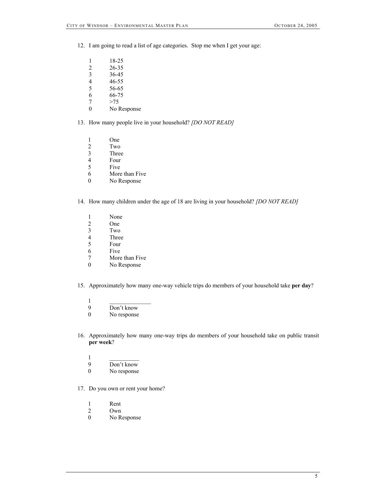- 12. I am going to read a list of age categories. Stop me when I get your age:
	- 1 18-25
	- $\frac{2}{3}$  26-35<br>36-45
	- $\begin{array}{cc} 3 & 36-45 \\ 4 & 46-55 \end{array}$
	- 4 46-55<br>5 56-65
	- 5 56-65<br>6 66-75
	- 66-75
	- $\begin{array}{ccc} 7 & & > 75 \\ 0 & & \text{No F} \end{array}$
	- No Response
- 13. How many people live in your household? *[DO NOT READ]*
	- 1 One
	- 2 Two<br>3 Three
	- **Three**
	- 4 Four<br>5 Five
	- 5 Five<br>6 More
	- More than Five
	- 0 No Response
- 14. How many children under the age of 18 are living in your household? *[DO NOT READ]*
	- 1 None
	- 2 One<br>3 Two
	- Two
	- 4 Three<br>5 Four
	- **Four** 6 Five
	-
	- 7 More than Five<br>0 No Response
	- No Response
- 15. Approximately how many one-way vehicle trips do members of your household take **per day**?
	- $1$   $\qquad \qquad$   $\qquad$   $\qquad$   $\qquad$   $\qquad$   $\qquad$   $\qquad$   $\qquad$   $\qquad$   $\qquad$   $\qquad$   $\qquad$   $\qquad$   $\qquad$   $\qquad$   $\qquad$   $\qquad$   $\qquad$   $\qquad$   $\qquad$   $\qquad$   $\qquad$   $\qquad$   $\qquad$   $\qquad$   $\qquad$   $\qquad$   $\qquad$   $\qquad$   $\qquad$   $\qquad$   $\qquad$   $\qquad$   $\qquad$   $\qquad$   $\qquad$
	- 9 Don't know
	- 0 No response
- 16. Approximately how many one-way trips do members of your household take on public transit **per week**?
	- $1 -$
	- 9 Don't know<br>0 No response
	- No response
- 17. Do you own or rent your home?
	- 1 Rent
	- 2 Own<br>0 No R
	- No Response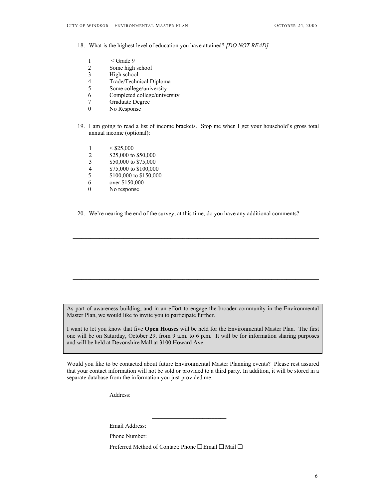18. What is the highest level of education you have attained? *[DO NOT READ]*

- 1  $\leq$  Grade 9
- 2 Some high school<br>3 High school
- 3 High school<br>4 Trade/Techn
- Trade/Technical Diploma
- 5 Some college/university
- 6 Completed college/university
- 7 Graduate Degree
- No Response
- 19. I am going to read a list of income brackets. Stop me when I get your household's gross total annual income (optional):
	- $1 \leq$ \$25,000
	- 2 \$25,000 to \$50,000
	- 3 \$50,000 to \$75,000
	- 4 \$75,000 to \$100,000<br>5 \$100,000 to \$150,000
	- \$100,000 to \$150,000
	- 6 over \$150,000
	- 0 No response

20. We're nearing the end of the survey; at this time, do you have any additional comments?

As part of awareness building, and in an effort to engage the broader community in the Environmental Master Plan, we would like to invite you to participate further.

 $\mathcal{L}_\text{max}$ 

 $\mathcal{L}_\text{max}$ 

I want to let you know that five **Open Houses** will be held for the Environmental Master Plan. The first one will be on Saturday, October 29, from 9 a.m. to 6 p.m. It will be for information sharing purposes and will be held at Devonshire Mall at 3100 Howard Ave.

Would you like to be contacted about future Environmental Master Planning events? Please rest assured that your contact information will not be sold or provided to a third party. In addition, it will be stored in a separate database from the information you just provided me.

| Address:                       |  |      |  |
|--------------------------------|--|------|--|
|                                |  |      |  |
|                                |  |      |  |
|                                |  |      |  |
| Email Address:                 |  |      |  |
| Phone Number:                  |  |      |  |
| $\sim$ $\sim$ $\sim$<br>$\sim$ |  | $ -$ |  |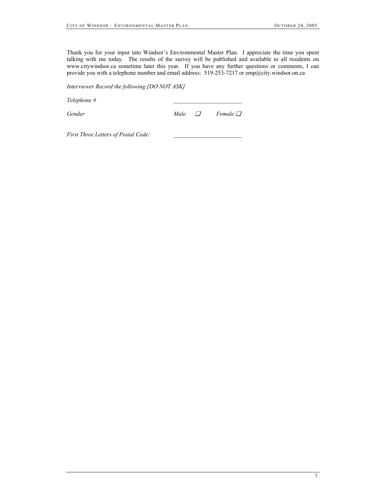Thank you for your input into Windsor's Environmental Master Plan. I appreciate the time you spent talking with me today. The results of the survey will be published and available to all residents on www.citywindsor.ca sometime later this year. If you have any further questions or comments, I can provide you with a telephone number and email address: 519-253-7217 or emp@city.windsor.on.ca

*Interviewer Record the following [DO NOT ASK]* 

*Telephone # \_\_\_\_\_\_\_\_\_\_\_\_\_\_\_\_\_\_\_\_\_\_\_* 

*Gender Male* ❏ *Female* ❏

First Three Letters of Postal Code: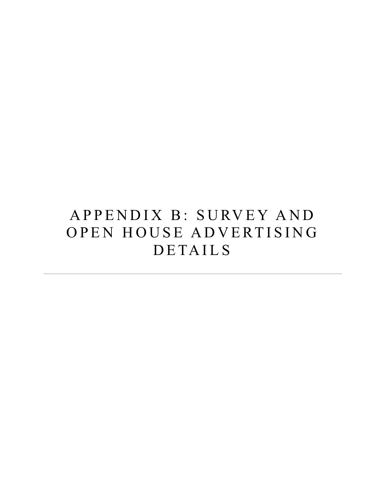# APPENDIX B: SURVEY AND OPEN HOUSE ADVERTISING DETAILS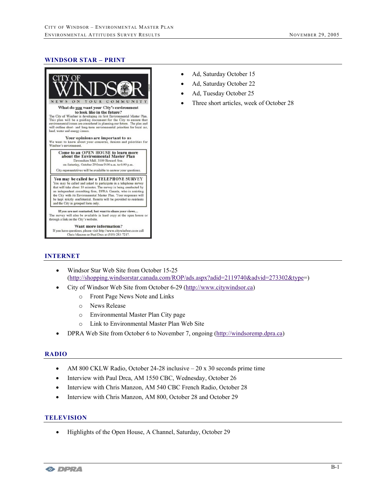#### **WINDSOR STAR – PRINT**



Chris Manzon or Paul Drea at (519) 253-7217.

- Ad, Saturday October 15
- Ad, Saturday October 22
- Ad, Tuesday October 25
- Three short articles, week of October 28

#### **INTERNET**

- Windsor Star Web Site from October 15-25 (http://shopping.windsorstar.canada.com/ROP/ads.aspx?adid=2119740&advid=273302&type=)
- City of Windsor Web Site from October 6-29 (http://www.citywindsor.ca)
	- o Front Page News Note and Links
	- o News Release
	- o Environmental Master Plan City page
	- o Link to Environmental Master Plan Web Site
- DPRA Web Site from October 6 to November 7, ongoing (http://windsoremp.dpra.ca)

#### **RADIO**

- AM 800 CKLW Radio, October 24-28 inclusive 20 x 30 seconds prime time
- Interview with Paul Drca, AM 1550 CBC, Wednesday, October 26
- Interview with Chris Manzon, AM 540 CBC French Radio, October 28
- Interview with Chris Manzon, AM 800, October 28 and October 29

#### **TELEVISION**

• Highlights of the Open House, A Channel, Saturday, October 29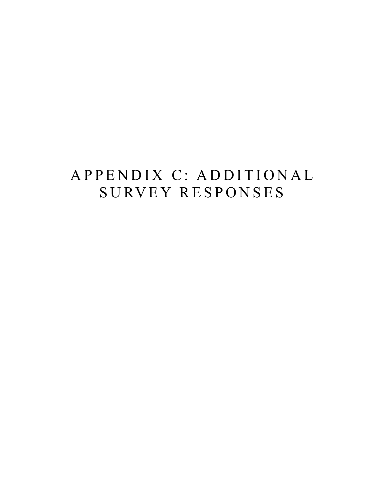# APPENDIX C: ADDITIONAL SURVEY RESPONSES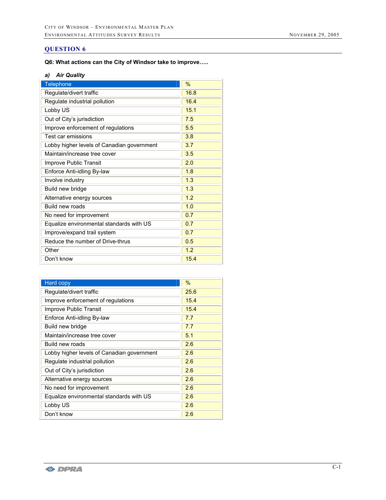# **QUESTION 6**

## **Q6: What actions can the City of Windsor take to improve…..**

# *a) Air Quality*

| Telephone                                  | %    |
|--------------------------------------------|------|
| Regulate/divert traffic                    | 16.8 |
| Regulate industrial pollution              | 16.4 |
| Lobby US                                   | 15.1 |
| Out of City's jurisdiction                 | 7.5  |
| Improve enforcement of regulations         | 5.5  |
| Test car emissions                         | 3.8  |
| Lobby higher levels of Canadian government | 3.7  |
| Maintain/increase tree cover               | 3.5  |
| Improve Public Transit                     | 2.0  |
| Enforce Anti-idling By-law                 | 1.8  |
| Involve industry                           | 1.3  |
| Build new bridge                           | 1.3  |
| Alternative energy sources                 | 1.2  |
| Build new roads                            | 1.0  |
| No need for improvement                    | 0.7  |
| Equalize environmental standards with US   | 0.7  |
| Improve/expand trail system                | 0.7  |
| Reduce the number of Drive-thrus           | 0.5  |
| Other                                      | 1.2  |
| Don't know                                 | 15.4 |

| <b>Hard copy</b>                           | $\%$ |
|--------------------------------------------|------|
| Regulate/divert traffic                    | 25.6 |
| Improve enforcement of regulations         | 15.4 |
| Improve Public Transit                     | 15.4 |
| Enforce Anti-idling By-law                 | 7.7  |
| Build new bridge                           | 7.7  |
| Maintain/increase tree cover               | 5.1  |
| Build new roads                            | 2.6  |
| Lobby higher levels of Canadian government | 2.6  |
| Regulate industrial pollution              | 2.6  |
| Out of City's jurisdiction                 | 2.6  |
| Alternative energy sources                 | 2.6  |
| No need for improvement                    | 2.6  |
| Equalize environmental standards with US   | 2.6  |
| Lobby US                                   | 2.6  |
| Don't know                                 | 2.6  |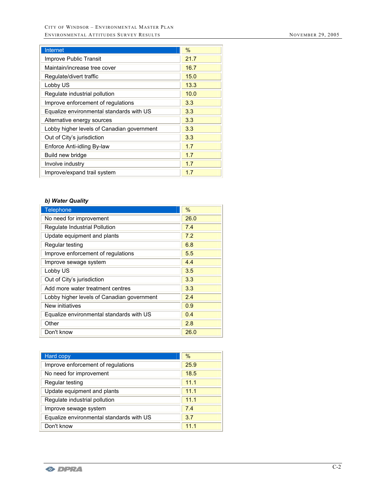| Internet                                   | $\%$ |
|--------------------------------------------|------|
| Improve Public Transit                     | 21.7 |
| Maintain/increase tree cover               | 16.7 |
| Regulate/divert traffic                    | 15.0 |
| Lobby US                                   | 13.3 |
| Regulate industrial pollution              | 10.0 |
| Improve enforcement of regulations         | 3.3  |
| Equalize environmental standards with US   | 3.3  |
| Alternative energy sources                 | 3.3  |
| Lobby higher levels of Canadian government | 3.3  |
| Out of City's jurisdiction                 | 3.3  |
| Enforce Anti-idling By-law                 | 1.7  |
| Build new bridge                           | 1.7  |
| Involve industry                           | 1.7  |
| Improve/expand trail system                | 1.7  |

## *b) Water Quality*

| <b>Telephone</b>                           | $\%$ |
|--------------------------------------------|------|
| No need for improvement                    | 26.0 |
| Regulate Industrial Pollution              | 7.4  |
| Update equipment and plants                | 7.2  |
| Regular testing                            | 6.8  |
| Improve enforcement of regulations         | 5.5  |
| Improve sewage system                      | 4.4  |
| Lobby US                                   | 3.5  |
| Out of City's jurisdiction                 | 3.3  |
| Add more water treatment centres           | 3.3  |
| Lobby higher levels of Canadian government | 2.4  |
| New initiatives                            | 0.9  |
| Equalize environmental standards with US   | 0.4  |
| Other                                      | 2.8  |
| Don't know                                 | 26.0 |

| Hard copy                                | $\%$ |
|------------------------------------------|------|
| Improve enforcement of regulations       | 25.9 |
| No need for improvement                  | 18.5 |
| Regular testing                          | 11.1 |
| Update equipment and plants              | 11.1 |
| Regulate industrial pollution            | 11.1 |
| Improve sewage system                    | 7.4  |
| Equalize environmental standards with US | 3.7  |
| Don't know                               | 11.1 |

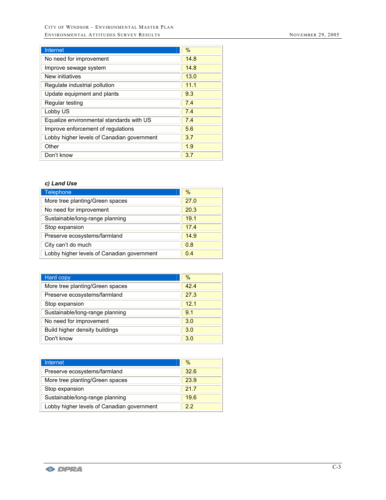| <b>Internet</b>                            | $\frac{0}{0}$ |
|--------------------------------------------|---------------|
| No need for improvement                    | 14.8          |
| Improve sewage system                      | 14.8          |
| New initiatives                            | 13.0          |
| Regulate industrial pollution              | 11.1          |
| Update equipment and plants                | 9.3           |
| Regular testing                            | 7.4           |
| Lobby US                                   | 7.4           |
| Equalize environmental standards with US   | 7.4           |
| Improve enforcement of regulations         | 5.6           |
| Lobby higher levels of Canadian government | 3.7           |
| Other                                      | 1.9           |
| Don't know                                 | 3.7           |

## *c) Land Use*

| Telephone                                  | $\%$ |
|--------------------------------------------|------|
| More tree planting/Green spaces            | 27.0 |
| No need for improvement                    | 20.3 |
| Sustainable/long-range planning            | 19.1 |
| Stop expansion                             | 17.4 |
| Preserve ecosystems/farmland               | 14.9 |
| City can't do much                         | 0.8  |
| Lobby higher levels of Canadian government | 0.4  |

| Hard copy                       | $\%$ |
|---------------------------------|------|
| More tree planting/Green spaces | 42.4 |
| Preserve ecosystems/farmland    | 27.3 |
| Stop expansion                  | 12.1 |
| Sustainable/long-range planning | 9.1  |
| No need for improvement         | 3.0  |
| Build higher density buildings  | 3.0  |
| Don't know                      | 3.0  |

| <b>Internet</b>                            | $\%$ |
|--------------------------------------------|------|
| Preserve ecosystems/farmland               | 326  |
| More tree planting/Green spaces            | 23.9 |
| Stop expansion                             | 217  |
| Sustainable/long-range planning            | 19.6 |
| Lobby higher levels of Canadian government | 22   |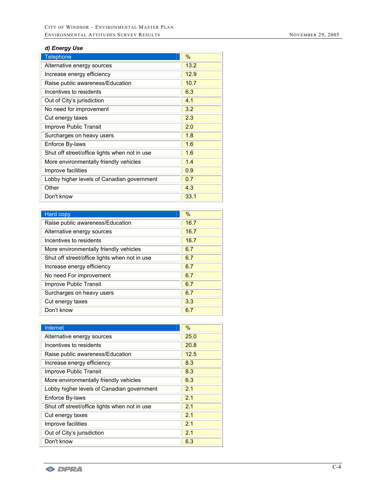# *d) Energy Use*

| Telephone                                     | $\%$ |
|-----------------------------------------------|------|
| Alternative energy sources                    | 13.2 |
| Increase energy efficiency                    | 12.9 |
| Raise public awareness/Education              | 10.7 |
| Incentives to residents                       | 6.3  |
| Out of City's jurisdiction                    | 4.1  |
| No need for improvement                       | 3.2  |
| Cut energy taxes                              | 2.3  |
| <b>Improve Public Transit</b>                 | 2.0  |
| Surcharges on heavy users                     | 1.8  |
| Enforce By-laws                               | 1.6  |
| Shut off street/office lights when not in use | 1.6  |
| More environmentally friendly vehicles        | 1.4  |
| Improve facilities                            | 0.9  |
| Lobby higher levels of Canadian government    | 0.7  |
| Other                                         | 4.3  |
| Don't know                                    | 33.1 |

| Hard copy                                     | $\%$ |
|-----------------------------------------------|------|
| Raise public awareness/Education              | 16.7 |
| Alternative energy sources                    | 16.7 |
| Incentives to residents                       | 16.7 |
| More environmentally friendly vehicles        | 6.7  |
| Shut off street/office lights when not in use | 6.7  |
| Increase energy efficiency                    | 6.7  |
| No need For improvement                       | 6.7  |
| Improve Public Transit                        | 6.7  |
| Surcharges on heavy users                     | 6.7  |
| Cut energy taxes                              | 3.3  |
| Don't know                                    | 6.7  |

| Internet                                      | $\%$ |
|-----------------------------------------------|------|
| Alternative energy sources                    | 25.0 |
| Incentives to residents                       | 20.8 |
| Raise public awareness/Education              | 12.5 |
| Increase energy efficiency                    | 8.3  |
| Improve Public Transit                        | 8.3  |
| More environmentally friendly vehicles        | 6.3  |
| Lobby higher levels of Canadian government    | 2.1  |
| Enforce By-laws                               | 2.1  |
| Shut off street/office lights when not in use | 2.1  |
| Cut energy taxes                              | 2.1  |
| Improve facilities                            | 2.1  |
| Out of City's jurisdiction                    | 2.1  |
| Don't know                                    | 6.3  |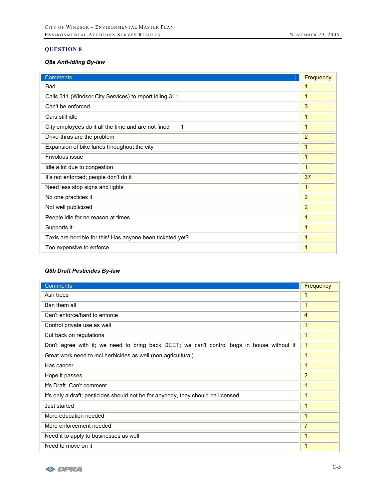# **QUESTION 8**

## *Q8a Anti-idling By-law*

| <b>Comments</b>                                            | Frequency      |
|------------------------------------------------------------|----------------|
| <b>Bad</b>                                                 | 1              |
| Calls 311 (Windsor City Services) to report idling 311     | $\mathbf{1}$   |
| Can't be enforced                                          | 3              |
| Cars still idle                                            | 1              |
| City employees do it all the time and are not fined<br>1   | 1              |
| Drive-thrus are the problem                                | 2              |
| Expansion of bike lanes throughout the city                | 1              |
| Frivolous issue                                            | 1              |
| Idle a lot due to congestion                               | 1              |
| It's not enforced; people don't do it                      | 37             |
| Need less stop signs and lights                            | 1              |
| No one practices it                                        | 2              |
| Not well publicized                                        | $\overline{2}$ |
| People idle for no reason at times                         | 1              |
| Supports it                                                | 1              |
| Taxis are horrible for this! Has anyone been ticketed yet? | $\mathbf{1}$   |
| Too expensive to enforce                                   | $\mathbf{1}$   |

## *Q8b Draft Pesticides By-law*

| <b>Comments</b>                                                                            | Frequency      |
|--------------------------------------------------------------------------------------------|----------------|
| Ash trees                                                                                  | 1              |
| Ban them all                                                                               | 1              |
| Can't enforce/hard to enforce                                                              | 4              |
| Control private use as well                                                                | 1              |
| Cut back on regulations                                                                    | $\mathbf{1}$   |
| Don't agree with it; we need to bring back DEET; we can't control bugs in house without it | $\mathbf{1}$   |
| Great work need to incl herbicides as well (non agricultural)                              | $\mathbf{1}$   |
| Has cancer                                                                                 | 1              |
| Hope it passes                                                                             | $\overline{2}$ |
| It's Draft. Can't comment                                                                  | 1              |
| It's only a draft; pesticides should not be for anybody, they should be licensed           | $\mathbf{1}$   |
| Just started                                                                               | $\mathbf{1}$   |
| More education needed                                                                      | $\mathbf{1}$   |
| More enforcement needed                                                                    | $\overline{7}$ |
| Need it to apply to businesses as well                                                     | $\mathbf{1}$   |
| Need to move on it                                                                         | 1              |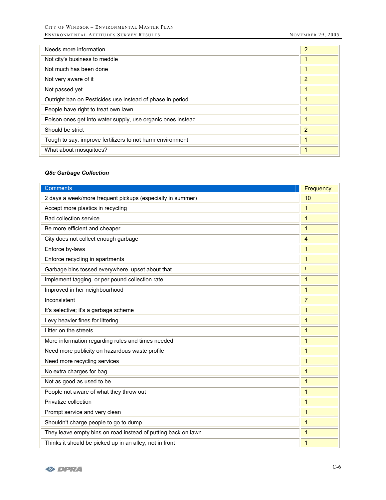| Needs more information                                      | $\overline{2}$ |
|-------------------------------------------------------------|----------------|
| Not city's business to meddle                               | 1              |
| Not much has been done                                      | 1              |
| Not very aware of it                                        | $\overline{2}$ |
| Not passed yet                                              | 1              |
| Outright ban on Pesticides use instead of phase in period   | 1              |
| People have right to treat own lawn                         | 1              |
| Poison ones get into water supply, use organic ones instead | $\mathbf{1}$   |
| Should be strict                                            | $\overline{2}$ |
| Tough to say, improve fertilizers to not harm environment   | 1              |
| What about mosquitoes?                                      | 1              |

# *Q8c Garbage Collection*

| <b>Comments</b>                                               | Frequency      |
|---------------------------------------------------------------|----------------|
| 2 days a week/more frequent pickups (especially in summer)    | 10             |
| Accept more plastics in recycling                             | $\mathbf{1}$   |
| <b>Bad collection service</b>                                 | 1              |
| Be more efficient and cheaper                                 | 1              |
| City does not collect enough garbage                          | $\overline{4}$ |
| Enforce by-laws                                               | $\mathbf{1}$   |
| Enforce recycling in apartments                               | $\mathbf{1}$   |
| Garbage bins tossed everywhere. upset about that              | Ţ              |
| Implement tagging or per pound collection rate                | $\mathbf{1}$   |
| Improved in her neighbourhood                                 | $\mathbf{1}$   |
| Inconsistent                                                  | $\overline{7}$ |
| It's selective; it's a garbage scheme                         | $\mathbf{1}$   |
| Levy heavier fines for littering                              | $\mathbf{1}$   |
| Litter on the streets                                         | $\mathbf{1}$   |
| More information regarding rules and times needed             | $\mathbf{1}$   |
| Need more publicity on hazardous waste profile                | $\mathbf{1}$   |
| Need more recycling services                                  | $\mathbf{1}$   |
| No extra charges for bag                                      | $\mathbf{1}$   |
| Not as good as used to be                                     | $\mathbf{1}$   |
| People not aware of what they throw out                       | $\mathbf{1}$   |
| Privatize collection                                          | $\mathbf{1}$   |
| Prompt service and very clean                                 | 1              |
| Shouldn't charge people to go to dump                         | $\mathbf{1}$   |
| They leave empty bins on road instead of putting back on lawn | $\mathbf{1}$   |
| Thinks it should be picked up in an alley, not in front       | $\mathbf{1}$   |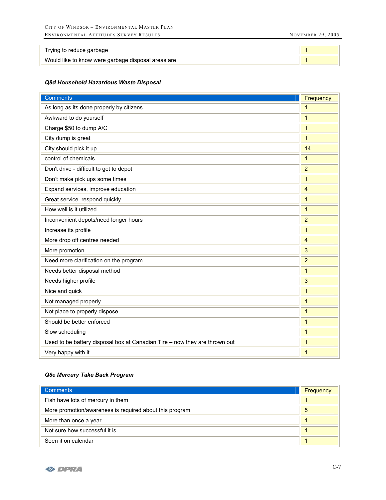| Trying to reduce garbage                           |  |
|----------------------------------------------------|--|
| Would like to know were garbage disposal areas are |  |

## *Q8d Household Hazardous Waste Disposal*

| <b>Comments</b>                                                            | Frequency      |
|----------------------------------------------------------------------------|----------------|
| As long as its done properly by citizens                                   | $\mathbf{1}$   |
| Awkward to do yourself                                                     | $\overline{1}$ |
| Charge \$50 to dump A/C                                                    | $\mathbf{1}$   |
| City dump is great                                                         | $\mathbf{1}$   |
| City should pick it up                                                     | 14             |
| control of chemicals                                                       | $\overline{1}$ |
| Don't drive - difficult to get to depot                                    | $\overline{2}$ |
| Don't make pick ups some times                                             | $\mathbf{1}$   |
| Expand services, improve education                                         | $\overline{4}$ |
| Great service. respond quickly                                             | $\mathbf{1}$   |
| How well is it utilized                                                    | $\mathbf{1}$   |
| Inconvenient depots/need longer hours                                      | $\overline{2}$ |
| Increase its profile                                                       | $\overline{1}$ |
| More drop off centres needed                                               | 4              |
| More promotion                                                             | 3              |
| Need more clarification on the program                                     | $\overline{a}$ |
| Needs better disposal method                                               | $\mathbf{1}$   |
| Needs higher profile                                                       | 3              |
| Nice and quick                                                             | $\overline{1}$ |
| Not managed properly                                                       | $\overline{1}$ |
| Not place to properly dispose                                              | $\mathbf{1}$   |
| Should be better enforced                                                  | $\mathbf{1}$   |
| Slow scheduling                                                            | $\overline{1}$ |
| Used to be battery disposal box at Canadian Tire - now they are thrown out | 1              |
| Very happy with it                                                         | $\overline{1}$ |

## *Q8e Mercury Take Back Program*

| <b>Comments</b>                                         | Frequency |
|---------------------------------------------------------|-----------|
| Fish have lots of mercury in them                       |           |
| More promotion/awareness is required about this program | 5         |
| More than once a year                                   |           |
| Not sure how successful it is                           |           |
| Seen it on calendar                                     |           |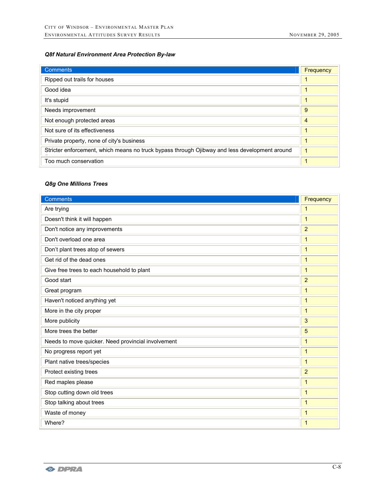## *Q8f Natural Environment Area Protection By-law*

| <b>Comments</b>                                                                               | Frequency |
|-----------------------------------------------------------------------------------------------|-----------|
| Ripped out trails for houses                                                                  |           |
| Good idea                                                                                     |           |
| It's stupid                                                                                   |           |
| Needs improvement                                                                             | 9         |
| Not enough protected areas                                                                    | 4         |
| Not sure of its effectiveness                                                                 |           |
| Private property, none of city's business                                                     |           |
| Stricter enforcement, which means no truck bypass through Ojibway and less development around |           |
| Too much conservation                                                                         |           |

# *Q8g One Millions Trees*

| <b>Comments</b>                                    | Frequency      |
|----------------------------------------------------|----------------|
| Are trying                                         | 1              |
| Doesn't think it will happen                       | $\mathbf{1}$   |
| Don't notice any improvements                      | $\overline{2}$ |
| Don't overload one area                            | $\mathbf{1}$   |
| Don't plant trees atop of sewers                   | $\mathbf{1}$   |
| Get rid of the dead ones                           | $\mathbf{1}$   |
| Give free trees to each household to plant         | $\mathbf{1}$   |
| Good start                                         | $\overline{2}$ |
| Great program                                      | $\mathbf{1}$   |
| Haven't noticed anything yet                       | $\mathbf{1}$   |
| More in the city proper                            | $\mathbf{1}$   |
| More publicity                                     | 3              |
| More trees the better                              | 5              |
| Needs to move quicker. Need provincial involvement | $\mathbf{1}$   |
| No progress report yet                             | $\mathbf{1}$   |
| Plant native trees/species                         | $\mathbf{1}$   |
| Protect existing trees                             | $\overline{2}$ |
| Red maples please                                  | 1              |
| Stop cutting down old trees                        | 1              |
| Stop talking about trees                           | 1              |
| Waste of money                                     | 1              |
| Where?                                             | 1              |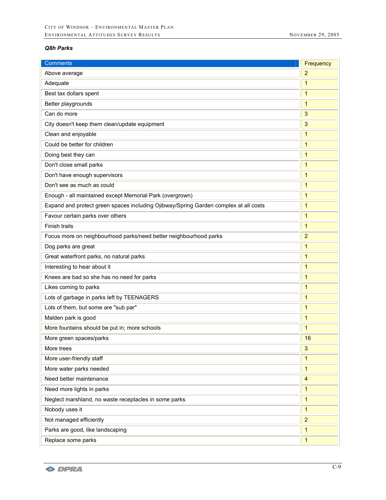## *Q8h Parks*

| <b>Comments</b>                                                                      | Frequency               |
|--------------------------------------------------------------------------------------|-------------------------|
| Above average                                                                        | $\overline{2}$          |
| Adequate                                                                             | 1                       |
| Best tax dollars spent                                                               | $\mathbf{1}$            |
| Better playgrounds                                                                   | $\mathbf{1}$            |
| Can do more                                                                          | 3                       |
| City doesn't keep them clean/update equipment                                        | 3                       |
| Clean and enjoyable                                                                  | 1                       |
| Could be better for children                                                         | 1                       |
| Doing best they can                                                                  | $\mathbf{1}$            |
| Don't close small parks                                                              | $\mathbf{1}$            |
| Don't have enough supervisors                                                        | 1                       |
| Don't see as much as could                                                           | $\mathbf{1}$            |
| Enough - all maintained except Memorial Park (overgrown)                             | $\mathbf{1}$            |
| Expand and protect green spaces including Ojibway/Spring Garden complex at all costs | 1                       |
| Favour certain parks over others                                                     | $\mathbf{1}$            |
| Finish trails                                                                        | 1                       |
| Focus more on neighbourhood parks/need better neighbourhood parks                    | $\overline{2}$          |
| Dog parks are great                                                                  | $\mathbf{1}$            |
| Great waterfront parks, no natural parks                                             | 1                       |
| Interesting to hear about it                                                         | 1                       |
| Knees are bad so she has no need for parks                                           | 1                       |
| Likes coming to parks                                                                | 1                       |
| Lots of garbage in parks left by TEENAGERS                                           | $\mathbf{1}$            |
| Lots of them, but some are "sub par"                                                 | 1                       |
| Malden park is good                                                                  | $\mathbf 1$             |
| More fountains should be put in; more schools                                        | 1                       |
| More green spaces/parks                                                              | 16                      |
| More trees                                                                           | 3                       |
| More user-friendly staff                                                             | 1                       |
| More water parks needed                                                              | $\mathbf{1}$            |
| Need better maintenance                                                              | $\overline{\mathbf{4}}$ |
| Need more lights in parks                                                            | 1                       |
| Neglect marshland, no waste receptacles in some parks                                | $\mathbf{1}$            |
| Nobody uses it                                                                       | 1                       |
| Not managed efficiently                                                              | $\overline{2}$          |
| Parks are good, like landscaping                                                     | $\mathbf{1}$            |
| Replace some parks                                                                   | $\mathbf{1}$            |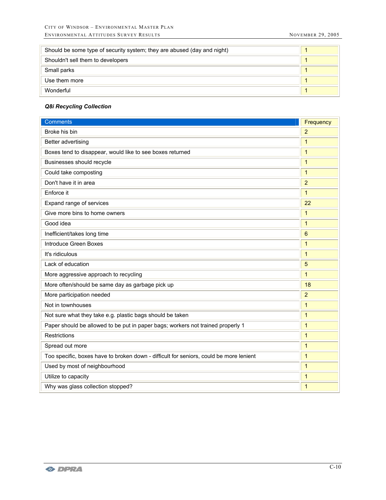| Should be some type of security system; they are abused (day and night) |  |
|-------------------------------------------------------------------------|--|
| Shouldn't sell them to developers                                       |  |
| Small parks                                                             |  |
| Use them more                                                           |  |
| Wonderful                                                               |  |

# *Q8i Recycling Collection*

| <b>Comments</b>                                                                        | Frequency      |
|----------------------------------------------------------------------------------------|----------------|
| Broke his bin                                                                          | $\overline{2}$ |
| Better advertising                                                                     | $\mathbf{1}$   |
| Boxes tend to disappear, would like to see boxes returned                              | $\mathbf{1}$   |
| Businesses should recycle                                                              | $\mathbf{1}$   |
| Could take composting                                                                  | $\mathbf{1}$   |
| Don't have it in area                                                                  | $\overline{2}$ |
| Enforce it                                                                             | $\mathbf{1}$   |
| Expand range of services                                                               | 22             |
| Give more bins to home owners                                                          | $\mathbf{1}$   |
| Good idea                                                                              | $\mathbf{1}$   |
| Inefficient/takes long time                                                            | 6              |
| <b>Introduce Green Boxes</b>                                                           | 1              |
| It's ridiculous                                                                        | $\mathbf{1}$   |
| Lack of education                                                                      | 5              |
| More aggressive approach to recycling                                                  | $\mathbf{1}$   |
| More often/should be same day as garbage pick up                                       | 18             |
| More participation needed                                                              | $\overline{2}$ |
| Not in townhouses                                                                      | 1              |
| Not sure what they take e.g. plastic bags should be taken                              | $\mathbf{1}$   |
| Paper should be allowed to be put in paper bags; workers not trained properly 1        | 1              |
| <b>Restrictions</b>                                                                    | $\mathbf{1}$   |
| Spread out more                                                                        | $\mathbf{1}$   |
| Too specific, boxes have to broken down - difficult for seniors, could be more lenient | $\mathbf{1}$   |
| Used by most of neighbourhood                                                          | $\mathbf{1}$   |
| Utilize to capacity                                                                    | $\mathbf{1}$   |
| Why was glass collection stopped?                                                      | $\mathbf{1}$   |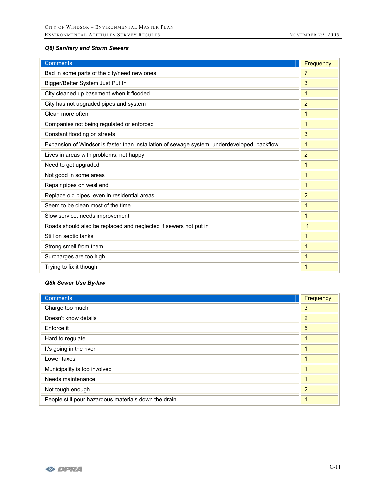# *Q8j Sanitary and Storm Sewers*

| <b>Comments</b>                                                                             | Frequency      |
|---------------------------------------------------------------------------------------------|----------------|
| Bad in some parts of the city/need new ones                                                 | $\overline{7}$ |
| Bigger/Better System Just Put In                                                            | 3              |
| City cleaned up basement when it flooded                                                    | $\mathbf{1}$   |
| City has not upgraded pipes and system                                                      | $\overline{2}$ |
| Clean more often                                                                            | $\mathbf{1}$   |
| Companies not being regulated or enforced                                                   | $\mathbf{1}$   |
| Constant flooding on streets                                                                | 3              |
| Expansion of Windsor is faster than installation of sewage system, underdeveloped, backflow | $\mathbf{1}$   |
| Lives in areas with problems, not happy                                                     | $\overline{2}$ |
| Need to get upgraded                                                                        | 1              |
| Not good in some areas                                                                      | 1              |
| Repair pipes on west end                                                                    | $\mathbf{1}$   |
| Replace old pipes, even in residential areas                                                | $\overline{2}$ |
| Seem to be clean most of the time                                                           | 1              |
| Slow service, needs improvement                                                             | $\mathbf{1}$   |
| Roads should also be replaced and neglected if sewers not put in                            | 1              |
| Still on septic tanks                                                                       | $\mathbf{1}$   |
| Strong smell from them                                                                      | 1              |
| Surcharges are too high                                                                     | $\mathbf{1}$   |
| Trying to fix it though                                                                     | 1              |

#### *Q8k Sewer Use By-law*

| <b>Comments</b>                                      | Frequency      |
|------------------------------------------------------|----------------|
| Charge too much                                      | 3              |
| Doesn't know details                                 | $\overline{2}$ |
| Enforce it                                           | 5              |
| Hard to regulate                                     |                |
| It's going in the river                              |                |
| Lower taxes                                          |                |
| Municipality is too involved                         | 1              |
| Needs maintenance                                    |                |
| Not tough enough                                     | $\overline{2}$ |
| People still pour hazardous materials down the drain |                |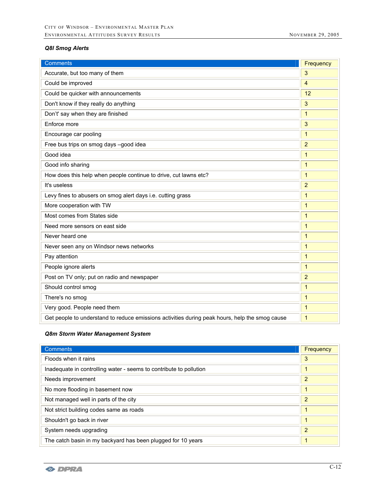# *Q8l Smog Alerts*

| <b>Comments</b>                                                                                | Frequency      |
|------------------------------------------------------------------------------------------------|----------------|
| Accurate, but too many of them                                                                 | 3              |
| Could be improved                                                                              | $\overline{4}$ |
| Could be quicker with announcements                                                            | 12             |
| Don't know if they really do anything                                                          | 3              |
| Don't' say when they are finished                                                              | $\mathbf{1}$   |
| Enforce more                                                                                   | 3              |
| Encourage car pooling                                                                          | $\mathbf{1}$   |
| Free bus trips on smog days -good idea                                                         | $\overline{2}$ |
| Good idea                                                                                      | $\mathbf{1}$   |
| Good info sharing                                                                              | $\mathbf{1}$   |
| How does this help when people continue to drive, cut lawns etc?                               | $\mathbf{1}$   |
| It's useless                                                                                   | $\overline{2}$ |
| Levy fines to abusers on smog alert days i.e. cutting grass                                    | $\mathbf{1}$   |
| More cooperation with TW                                                                       | $\mathbf{1}$   |
| Most comes from States side                                                                    | $\mathbf{1}$   |
| Need more sensors on east side                                                                 | $\mathbf{1}$   |
| Never heard one                                                                                | 1              |
| Never seen any on Windsor news networks                                                        | 1              |
| Pay attention                                                                                  | 1              |
| People ignore alerts                                                                           | $\mathbf{1}$   |
| Post on TV only; put on radio and newspaper                                                    | $\overline{2}$ |
| Should control smog                                                                            | $\mathbf{1}$   |
| There's no smog                                                                                | $\mathbf{1}$   |
| Very good. People need them                                                                    | $\mathbf{1}$   |
| Get people to understand to reduce emissions activities during peak hours, help the smog cause | $\mathbf{1}$   |

## *Q8m Storm Water Management System*

| <b>Comments</b>                                                    | Frequency      |
|--------------------------------------------------------------------|----------------|
| Floods when it rains                                               | 3              |
| Inadequate in controlling water - seems to contribute to pollution | $\blacksquare$ |
| Needs improvement                                                  | $\overline{2}$ |
| No more flooding in basement now                                   | $\mathbf 1$    |
| Not managed well in parts of the city                              | $\overline{2}$ |
| Not strict building codes same as roads                            | $\mathbf 1$    |
| Shouldn't go back in river                                         | $\mathbf{1}$   |
| System needs upgrading                                             | $\overline{2}$ |
| The catch basin in my backyard has been plugged for 10 years       | $\mathbf{1}$   |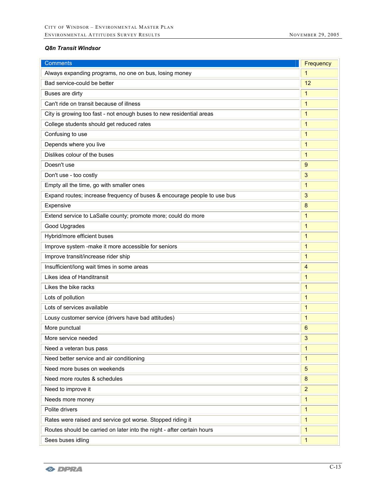#### *Q8n Transit Windsor*

| <b>Comments</b>                                                          | Frequency      |
|--------------------------------------------------------------------------|----------------|
| Always expanding programs, no one on bus, losing money                   | $\mathbf{1}$   |
| Bad service-could be better                                              | 12             |
| Buses are dirty                                                          | 1              |
| Can't ride on transit because of illness                                 | $\mathbf{1}$   |
| City is growing too fast - not enough buses to new residential areas     | $\mathbf{1}$   |
| College students should get reduced rates                                | 1              |
| Confusing to use                                                         | 1              |
| Depends where you live                                                   | 1              |
| Dislikes colour of the buses                                             | $\mathbf{1}$   |
| Doesn't use                                                              | 9              |
| Don't use - too costly                                                   | 3              |
| Empty all the time, go with smaller ones                                 | $\mathbf{1}$   |
| Expand routes; increase frequency of buses & encourage people to use bus | 3              |
| Expensive                                                                | 8              |
| Extend service to LaSalle county; promote more; could do more            | $\mathbf{1}$   |
| Good Upgrades                                                            | $\mathbf{1}$   |
| Hybrid/more efficient buses                                              | $\mathbf{1}$   |
| Improve system -make it more accessible for seniors                      | $\mathbf{1}$   |
| Improve transit/increase rider ship                                      | 1              |
| Insufficient/long wait times in some areas                               | $\overline{4}$ |
| Likes idea of Handitransit                                               | 1              |
| Likes the bike racks                                                     | $\mathbf{1}$   |
| Lots of pollution                                                        | $\mathbf{1}$   |
| Lots of services available                                               | 1              |
| Lousy customer service (drivers have bad attitudes)                      | $\mathbf{1}$   |
| More punctual                                                            | 6              |
| More service needed                                                      | 3              |
| Need a veteran bus pass                                                  | $\mathbf{1}$   |
| Need better service and air conditioning                                 | $\mathbf{1}$   |
| Need more buses on weekends                                              | 5              |
| Need more routes & schedules                                             | 8              |
| Need to improve it                                                       | $\overline{2}$ |
| Needs more money                                                         | $\mathbf{1}$   |
| Polite drivers                                                           | $\mathbf{1}$   |
| Rates were raised and service got worse. Stopped riding it               | 1              |
| Routes should be carried on later into the night - after certain hours   | $\mathbf{1}$   |
| Sees buses idling                                                        | $\mathbf{1}$   |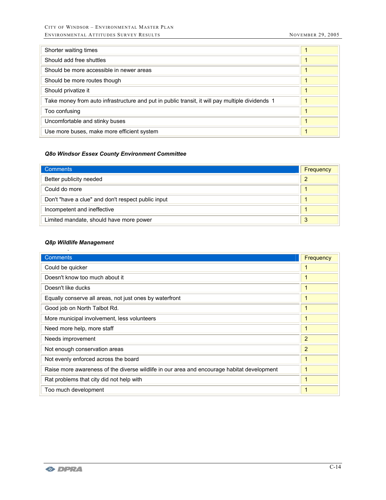| Shorter waiting times                                                                           |  |
|-------------------------------------------------------------------------------------------------|--|
| Should add free shuttles                                                                        |  |
| Should be more accessible in newer areas                                                        |  |
| Should be more routes though                                                                    |  |
| Should privatize it                                                                             |  |
| Take money from auto infrastructure and put in public transit, it will pay multiple dividends 1 |  |
| Too confusing                                                                                   |  |
| Uncomfortable and stinky buses                                                                  |  |
| Use more buses, make more efficient system                                                      |  |

## *Q8o Windsor Essex County Environment Committee*

| <b>Comments</b>                                    | Frequency |
|----------------------------------------------------|-----------|
| Better publicity needed                            | 2         |
| Could do more                                      |           |
| Don't "have a clue" and don't respect public input |           |
| Incompetent and ineffective                        |           |
| Limited mandate, should have more power            | 3         |

#### *Q8p Wildlife Management*

.

| <b>Comments</b>                                                                            | Frequency      |
|--------------------------------------------------------------------------------------------|----------------|
| Could be quicker                                                                           |                |
| Doesn't know too much about it                                                             |                |
| Doesn't like ducks                                                                         |                |
| Equally conserve all areas, not just ones by waterfront                                    |                |
| Good job on North Talbot Rd.                                                               |                |
| More municipal involvement, less volunteers                                                |                |
| Need more help, more staff                                                                 |                |
| Needs improvement                                                                          | $\overline{2}$ |
| Not enough conservation areas                                                              | $\overline{2}$ |
| Not evenly enforced across the board                                                       |                |
| Raise more awareness of the diverse wildlife in our area and encourage habitat development |                |
| Rat problems that city did not help with                                                   |                |
| Too much development                                                                       |                |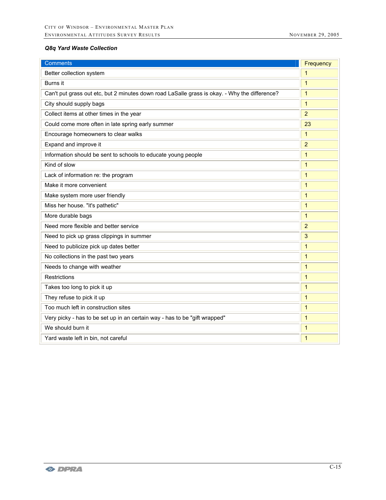# *Q8q Yard Waste Collection*

| <b>Comments</b>                                                                               | Frequency      |
|-----------------------------------------------------------------------------------------------|----------------|
| Better collection system                                                                      | 1              |
| Burns it                                                                                      | $\mathbf{1}$   |
| Can't put grass out etc, but 2 minutes down road LaSalle grass is okay. - Why the difference? | $\mathbf{1}$   |
| City should supply bags                                                                       | $\mathbf{1}$   |
| Collect items at other times in the year                                                      | $\overline{2}$ |
| Could come more often in late spring early summer                                             | 23             |
| Encourage homeowners to clear walks                                                           | 1              |
| Expand and improve it                                                                         | $\overline{2}$ |
| Information should be sent to schools to educate young people                                 | $\mathbf{1}$   |
| Kind of slow                                                                                  | $\mathbf{1}$   |
| Lack of information re: the program                                                           | $\mathbf{1}$   |
| Make it more convenient                                                                       | $\mathbf{1}$   |
| Make system more user friendly                                                                | $\mathbf{1}$   |
| Miss her house. "it's pathetic"                                                               | $\mathbf{1}$   |
| More durable bags                                                                             | $\mathbf{1}$   |
| Need more flexible and better service                                                         | $\overline{2}$ |
| Need to pick up grass clippings in summer                                                     | 3              |
| Need to publicize pick up dates better                                                        | $\mathbf{1}$   |
| No collections in the past two years                                                          | $\mathbf{1}$   |
| Needs to change with weather                                                                  | $\mathbf{1}$   |
| Restrictions                                                                                  | $\mathbf{1}$   |
| Takes too long to pick it up                                                                  | $\mathbf{1}$   |
| They refuse to pick it up                                                                     | $\mathbf{1}$   |
| Too much left in construction sites                                                           | $\mathbf{1}$   |
| Very picky - has to be set up in an certain way - has to be "gift wrapped"                    | $\mathbf{1}$   |
| We should burn it                                                                             | $\mathbf{1}$   |
| Yard waste left in bin, not careful                                                           | $\mathbf{1}$   |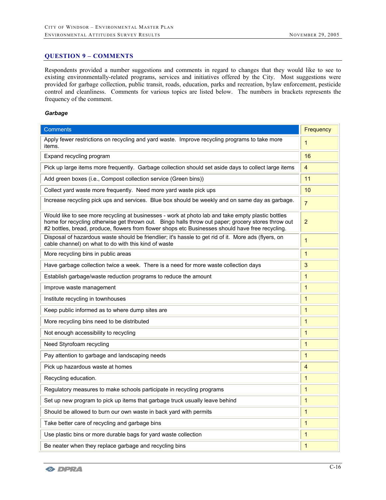#### **QUESTION 9 – COMMENTS**

Respondents provided a number suggestions and comments in regard to changes that they would like to see to existing environmentally-related programs, services and initiatives offered by the City. Most suggestions were provided for garbage collection, public transit, roads, education, parks and recreation, bylaw enforcement, pesticide control and cleanliness. Comments for various topics are listed below. The numbers in brackets represents the frequency of the comment.

#### *Garbage*

| <b>Comments</b>                                                                                                                                                                                                                                                                                             | Frequency      |
|-------------------------------------------------------------------------------------------------------------------------------------------------------------------------------------------------------------------------------------------------------------------------------------------------------------|----------------|
| Apply fewer restrictions on recycling and yard waste. Improve recycling programs to take more<br>items.                                                                                                                                                                                                     | $\mathbf{1}$   |
| Expand recycling program                                                                                                                                                                                                                                                                                    | 16             |
| Pick up large items more frequently. Garbage collection should set aside days to collect large items                                                                                                                                                                                                        | $\overline{4}$ |
| Add green boxes (i.e., Compost collection service (Green bins))                                                                                                                                                                                                                                             | 11             |
| Collect yard waste more frequently. Need more yard waste pick ups                                                                                                                                                                                                                                           | 10             |
| Increase recycling pick ups and services. Blue box should be weekly and on same day as garbage.                                                                                                                                                                                                             | $\overline{7}$ |
| Would like to see more recycling at businesses - work at photo lab and take empty plastic bottles<br>home for recycling otherwise get thrown out. Bingo halls throw out paper; grocery stores throw out<br>#2 bottles, bread, produce, flowers from flower shops etc Businesses should have free recycling. | $\overline{2}$ |
| Disposal of hazardous waste should be friendlier; it's hassle to get rid of it. More ads (flyers, on<br>cable channel) on what to do with this kind of waste                                                                                                                                                | 1              |
| More recycling bins in public areas                                                                                                                                                                                                                                                                         | 1              |
| Have garbage collection twice a week. There is a need for more waste collection days                                                                                                                                                                                                                        | 3              |
| Establish garbage/waste reduction programs to reduce the amount                                                                                                                                                                                                                                             | $\mathbf{1}$   |
| Improve waste management                                                                                                                                                                                                                                                                                    | 1              |
| Institute recycling in townhouses                                                                                                                                                                                                                                                                           | $\mathbf{1}$   |
| Keep public informed as to where dump sites are                                                                                                                                                                                                                                                             | 1              |
| More recycling bins need to be distributed                                                                                                                                                                                                                                                                  | 1              |
| Not enough accessibility to recycling                                                                                                                                                                                                                                                                       | 1              |
| Need Styrofoam recycling                                                                                                                                                                                                                                                                                    | $\mathbf{1}$   |
| Pay attention to garbage and landscaping needs                                                                                                                                                                                                                                                              | $\mathbf{1}$   |
| Pick up hazardous waste at homes                                                                                                                                                                                                                                                                            | 4              |
| Recycling education.                                                                                                                                                                                                                                                                                        | $\mathbf{1}$   |
| Regulatory measures to make schools participate in recycling programs                                                                                                                                                                                                                                       | 1              |
| Set up new program to pick up items that garbage truck usually leave behind                                                                                                                                                                                                                                 | $\mathbf{1}$   |
| Should be allowed to burn our own waste in back yard with permits                                                                                                                                                                                                                                           | $\mathbf{1}$   |
| Take better care of recycling and garbage bins                                                                                                                                                                                                                                                              | $\mathbf{1}$   |
| Use plastic bins or more durable bags for yard waste collection                                                                                                                                                                                                                                             | $\mathbf{1}$   |
| Be neater when they replace garbage and recycling bins                                                                                                                                                                                                                                                      | $\mathbf{1}$   |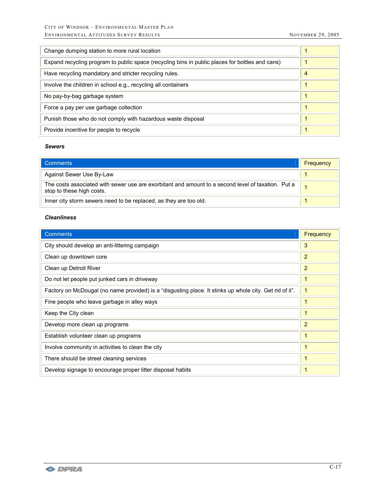| Change dumping station to more rural location                                                   |                |
|-------------------------------------------------------------------------------------------------|----------------|
| Expand recycling program to public space (recycling bins in public places for bottles and cans) |                |
| Have recycling mandatory and stricter recycling rules.                                          | $\overline{4}$ |
| Involve the children in school e.g., recycling all containers                                   |                |
| No pay-by-bag garbage system                                                                    | 1              |
| Force a pay per use garbage collection                                                          | 1              |
| Punish those who do not comply with hazardous waste disposal                                    | 1              |
| Provide incentive for people to recycle                                                         | 1              |

#### *Sewers*

| <b>Comments</b>                                                                                                                 | Frequency |
|---------------------------------------------------------------------------------------------------------------------------------|-----------|
| Against Sewer Use By-Law                                                                                                        |           |
| The costs associated with sewer use are exorbitant and amount to a second level of taxation. Put a<br>stop to these high costs. |           |
| Inner city storm sewers need to be replaced, as they are too old.                                                               |           |

## *Cleanliness*

| <b>Comments</b>                                                                                         | Frequency      |
|---------------------------------------------------------------------------------------------------------|----------------|
| City should develop an anti-littering campaign                                                          | 3              |
| Clean up downtown core                                                                                  | $\overline{2}$ |
| Clean up Detroit River                                                                                  | $\overline{2}$ |
| Do not let people put junked cars in driveway                                                           | 1              |
| Factory on McDougal (no name provided) is a "disgusting place. It stinks up whole city. Get rid of it". |                |
| Fine people who leave garbage in alley ways                                                             | 1              |
| Keep the City clean                                                                                     | 1              |
| Develop more clean up programs                                                                          | $\overline{2}$ |
| Establish volunteer clean up programs                                                                   | 1              |
| Involve community in activities to clean the city                                                       | 1              |
| There should be street cleaning services                                                                |                |
| Develop signage to encourage proper litter disposal habits                                              | 1              |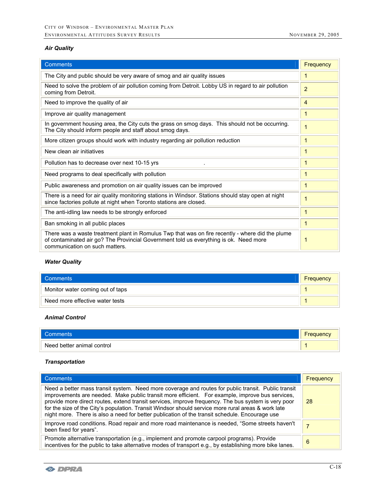# *Air Quality*

| <b>Comments</b>                                                                                                                                                                                                             | Frequency      |
|-----------------------------------------------------------------------------------------------------------------------------------------------------------------------------------------------------------------------------|----------------|
| The City and public should be very aware of smog and air quality issues                                                                                                                                                     | 1              |
| Need to solve the problem of air pollution coming from Detroit. Lobby US in regard to air pollution<br>coming from Detroit.                                                                                                 | $\overline{2}$ |
| Need to improve the quality of air                                                                                                                                                                                          | 4              |
| Improve air quality management                                                                                                                                                                                              | 1              |
| In government housing area, the City cuts the grass on smog days. This should not be occurring.<br>The City should inform people and staff about smog days.                                                                 | $\overline{1}$ |
| More citizen groups should work with industry regarding air pollution reduction                                                                                                                                             | 1              |
| New clean air initiatives                                                                                                                                                                                                   | 1              |
| Pollution has to decrease over next 10-15 yrs                                                                                                                                                                               | 1              |
| Need programs to deal specifically with pollution                                                                                                                                                                           | 1              |
| Public awareness and promotion on air quality issues can be improved                                                                                                                                                        | $\mathbf{1}$   |
| There is a need for air quality monitoring stations in Windsor. Stations should stay open at night<br>since factories pollute at night when Toronto stations are closed.                                                    | $\mathbf 1$    |
| The anti-idling law needs to be strongly enforced                                                                                                                                                                           | 1              |
| Ban smoking in all public places                                                                                                                                                                                            | 1              |
| There was a waste treatment plant in Romulus Twp that was on fire recently - where did the plume<br>of contaminated air go? The Provincial Government told us everything is ok. Need more<br>communication on such matters. | 1              |

# *Water Quality*

| Comments                         | Frequency |
|----------------------------------|-----------|
| Monitor water coming out of taps |           |
| Need more effective water tests  |           |

## *Animal Control*

| <b>Comments</b>            | -<br><b>Frequency</b> |
|----------------------------|-----------------------|
| Need better animal control |                       |

## *Transportation*

| <b>Comments</b>                                                                                                                                                                                                                                                                                                                                                                                                                                                                                                       | Frequency |
|-----------------------------------------------------------------------------------------------------------------------------------------------------------------------------------------------------------------------------------------------------------------------------------------------------------------------------------------------------------------------------------------------------------------------------------------------------------------------------------------------------------------------|-----------|
| Need a better mass transit system. Need more coverage and routes for public transit. Public transit<br>improvements are needed. Make public transit more efficient. For example, improve bus services,<br>provide more direct routes, extend transit services, improve frequency. The bus system is very poor<br>for the size of the City's population. Transit Windsor should service more rural areas & work late<br>night more. There is also a need for better publication of the transit schedule. Encourage use | -28       |
| Improve road conditions. Road repair and more road maintenance is needed, "Some streets haven't<br>been fixed for years".                                                                                                                                                                                                                                                                                                                                                                                             |           |
| Promote alternative transportation (e.g., implement and promote carpool programs). Provide<br>incentives for the public to take alternative modes of transport e.g., by establishing more bike lanes.                                                                                                                                                                                                                                                                                                                 | 6         |

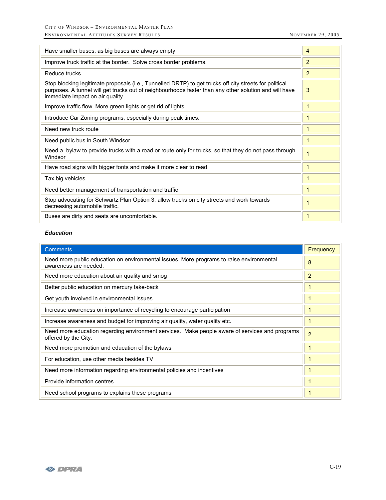$\rightarrow$ 

| Have smaller buses, as big buses are always empty                                                                                                                                                                                                   | 4              |
|-----------------------------------------------------------------------------------------------------------------------------------------------------------------------------------------------------------------------------------------------------|----------------|
| Improve truck traffic at the border. Solve cross border problems.                                                                                                                                                                                   | 2              |
| Reduce trucks                                                                                                                                                                                                                                       | 2              |
| Stop blocking legitimate proposals (i.e., Tunnelled DRTP) to get trucks off city streets for political<br>purposes. A tunnel will get trucks out of neighbourhoods faster than any other solution and will have<br>immediate impact on air quality. | 3              |
| Improve traffic flow. More green lights or get rid of lights.                                                                                                                                                                                       | 1              |
| Introduce Car Zoning programs, especially during peak times.                                                                                                                                                                                        | 1              |
| Need new truck route                                                                                                                                                                                                                                | 1              |
| Need public bus in South Windsor                                                                                                                                                                                                                    | 1              |
| Need a bylaw to provide trucks with a road or route only for trucks, so that they do not pass through<br>Windsor                                                                                                                                    | $\overline{1}$ |
| Have road signs with bigger fonts and make it more clear to read                                                                                                                                                                                    | 1              |
| Tax big vehicles                                                                                                                                                                                                                                    | 1              |
| Need better management of transportation and traffic                                                                                                                                                                                                | 1              |
| Stop advocating for Schwartz Plan Option 3, allow trucks on city streets and work towards<br>decreasing automobile traffic.                                                                                                                         | 1              |
| Buses are dirty and seats are uncomfortable.                                                                                                                                                                                                        | 1              |

## *Education*

| <b>Comments</b>                                                                                                        | <b>Frequency</b> |
|------------------------------------------------------------------------------------------------------------------------|------------------|
| Need more public education on environmental issues. More programs to raise environmental<br>awareness are needed.      | 8                |
| Need more education about air quality and smog                                                                         | $\overline{2}$   |
| Better public education on mercury take-back                                                                           |                  |
| Get youth involved in environmental issues                                                                             | 1                |
| Increase awareness on importance of recycling to encourage participation                                               |                  |
| Increase awareness and budget for improving air quality, water quality etc.                                            |                  |
| Need more education regarding environment services. Make people aware of services and programs<br>offered by the City. | $\overline{2}$   |
| Need more promotion and education of the bylaws                                                                        |                  |
| For education, use other media besides TV                                                                              |                  |
| Need more information regarding environmental policies and incentives                                                  |                  |
| Provide information centres                                                                                            | $\mathbf 1$      |
| Need school programs to explains these programs                                                                        |                  |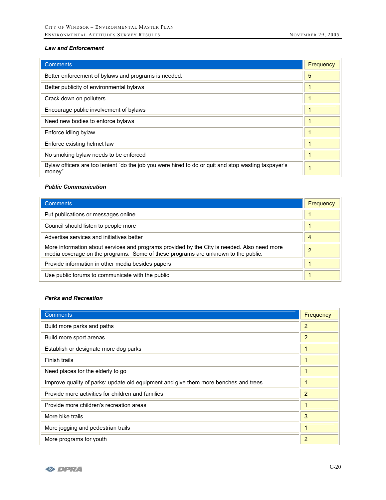#### *Law and Enforcement*

| <b>Comments</b>                                                                                                | Frequency |
|----------------------------------------------------------------------------------------------------------------|-----------|
| Better enforcement of bylaws and programs is needed.                                                           | 5         |
| Better publicity of environmental bylaws                                                                       |           |
| Crack down on polluters                                                                                        |           |
| Encourage public involvement of bylaws                                                                         |           |
| Need new bodies to enforce bylaws                                                                              |           |
| Enforce idling bylaw                                                                                           |           |
| Enforce existing helmet law                                                                                    |           |
| No smoking bylaw needs to be enforced                                                                          |           |
| Bylaw officers are too lenient "do the job you were hired to do or quit and stop wasting taxpayer's<br>money". |           |

#### *Public Communication*

| <b>Comments</b>                                                                                                                                                                  | Frequency |
|----------------------------------------------------------------------------------------------------------------------------------------------------------------------------------|-----------|
| Put publications or messages online                                                                                                                                              |           |
| Council should listen to people more                                                                                                                                             |           |
| Advertise services and initiatives better                                                                                                                                        | 4         |
| More information about services and programs provided by the City is needed. Also need more<br>media coverage on the programs. Some of these programs are unknown to the public. | 2         |
| Provide information in other media besides papers                                                                                                                                |           |
| Use public forums to communicate with the public                                                                                                                                 |           |

#### *Parks and Recreation*

| <b>Comments</b>                                                                     | Frequency      |
|-------------------------------------------------------------------------------------|----------------|
| Build more parks and paths                                                          | 2              |
| Build more sport arenas.                                                            | 2              |
| Establish or designate more dog parks                                               | 1              |
| Finish trails                                                                       | 1              |
| Need places for the elderly to go                                                   | 1              |
| Improve quality of parks: update old equipment and give them more benches and trees | 1              |
| Provide more activities for children and families                                   | 2              |
| Provide more children's recreation areas                                            | 1              |
| More bike trails                                                                    | 3              |
| More jogging and pedestrian trails                                                  | 1              |
| More programs for youth                                                             | $\overline{2}$ |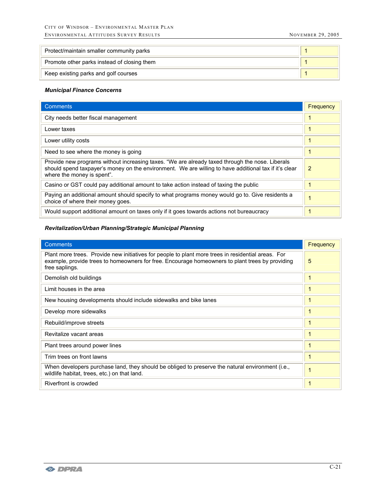| Protect/maintain smaller community parks    |  |
|---------------------------------------------|--|
| Promote other parks instead of closing them |  |
| Keep existing parks and golf courses        |  |

#### *Municipal Finance Concerns*

| <b>Comments</b>                                                                                                                                                                                                                        | Frequency |
|----------------------------------------------------------------------------------------------------------------------------------------------------------------------------------------------------------------------------------------|-----------|
| City needs better fiscal management                                                                                                                                                                                                    |           |
| Lower taxes                                                                                                                                                                                                                            |           |
| Lower utility costs                                                                                                                                                                                                                    |           |
| Need to see where the money is going                                                                                                                                                                                                   |           |
| Provide new programs without increasing taxes. "We are already taxed through the nose. Liberals<br>should spend taxpayer's money on the environment. We are willing to have additional tax if it's clear<br>where the money is spent". | 2         |
| Casino or GST could pay additional amount to take action instead of taxing the public                                                                                                                                                  |           |
| Paying an additional amount should specify to what programs money would go to. Give residents a<br>choice of where their money goes.                                                                                                   |           |
| Would support additional amount on taxes only if it goes towards actions not bureaucracy                                                                                                                                               |           |

# *Revitalization/Urban Planning/Strategic Municipal Planning*

| <b>Comments</b>                                                                                                                                                                                                         | Frequency |
|-------------------------------------------------------------------------------------------------------------------------------------------------------------------------------------------------------------------------|-----------|
| Plant more trees. Provide new initiatives for people to plant more trees in residential areas. For<br>example, provide trees to homeowners for free. Encourage homeowners to plant trees by providing<br>free saplings. | 5         |
| Demolish old buildings                                                                                                                                                                                                  |           |
| Limit houses in the area                                                                                                                                                                                                |           |
| New housing developments should include sidewalks and bike lanes                                                                                                                                                        |           |
| Develop more sidewalks                                                                                                                                                                                                  |           |
| Rebuild/improve streets                                                                                                                                                                                                 |           |
| Revitalize vacant areas                                                                                                                                                                                                 |           |
| Plant trees around power lines                                                                                                                                                                                          |           |
| Trim trees on front lawns                                                                                                                                                                                               |           |
| When developers purchase land, they should be obliged to preserve the natural environment (i.e.,<br>wildlife habitat, trees, etc.) on that land.                                                                        |           |
| Riverfront is crowded                                                                                                                                                                                                   |           |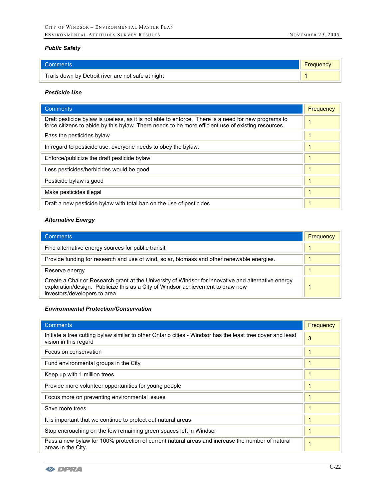## *Public Safety*

| l Comments                                         | <b>Frequency</b> |
|----------------------------------------------------|------------------|
| Trails down by Detroit river are not safe at night |                  |

## *Pesticide Use*

| <b>Comments</b>                                                                                                                                                                                           | Frequency |
|-----------------------------------------------------------------------------------------------------------------------------------------------------------------------------------------------------------|-----------|
| Draft pesticide by aw is useless, as it is not able to enforce. There is a need for new programs to<br>force citizens to abide by this bylaw. There needs to be more efficient use of existing resources. |           |
| Pass the pesticides bylaw                                                                                                                                                                                 |           |
| In regard to pesticide use, everyone needs to obey the bylaw.                                                                                                                                             |           |
| Enforce/publicize the draft pesticide bylaw                                                                                                                                                               |           |
| Less pesticides/herbicides would be good                                                                                                                                                                  |           |
| Pesticide bylaw is good                                                                                                                                                                                   |           |
| Make pesticides illegal                                                                                                                                                                                   |           |
| Draft a new pesticide bylaw with total ban on the use of pesticides                                                                                                                                       |           |

#### *Alternative Energy*

| <b>Comments</b>                                                                                                                                                                                                         | Frequency |
|-------------------------------------------------------------------------------------------------------------------------------------------------------------------------------------------------------------------------|-----------|
| Find alternative energy sources for public transit                                                                                                                                                                      |           |
| Provide funding for research and use of wind, solar, biomass and other renewable energies.                                                                                                                              |           |
| Reserve energy                                                                                                                                                                                                          |           |
| Create a Chair or Research grant at the University of Windsor for innovative and alternative energy<br>exploration/design. Publicize this as a City of Windsor achievement to draw new<br>investors/developers to area. |           |

#### *Environmental Protection/Conservation*

| <b>Comments</b>                                                                                                                     | Frequency |
|-------------------------------------------------------------------------------------------------------------------------------------|-----------|
| Initiate a tree cutting bylaw similar to other Ontario cities - Windsor has the least tree cover and least<br>vision in this regard | 3         |
| Focus on conservation                                                                                                               |           |
| Fund environmental groups in the City                                                                                               |           |
| Keep up with 1 million trees                                                                                                        |           |
| Provide more volunteer opportunities for young people                                                                               |           |
| Focus more on preventing environmental issues                                                                                       |           |
| Save more trees                                                                                                                     |           |
| It is important that we continue to protect out natural areas                                                                       |           |
| Stop encroaching on the few remaining green spaces left in Windsor                                                                  |           |
| Pass a new bylaw for 100% protection of current natural areas and increase the number of natural<br>areas in the City.              |           |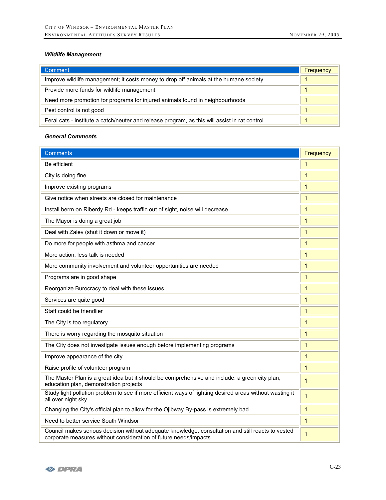## *Wildlife Management*

| Comment                                                                                       | Frequency |
|-----------------------------------------------------------------------------------------------|-----------|
| Improve wildlife management; it costs money to drop off animals at the humane society.        |           |
| Provide more funds for wildlife management                                                    |           |
| Need more promotion for programs for injured animals found in neighbourhoods                  |           |
| Pest control is not good                                                                      |           |
| Feral cats - institute a catch/neuter and release program, as this will assist in rat control |           |

## *General Comments*

| <b>Comments</b>                                                                                                                                                         | Frequency               |
|-------------------------------------------------------------------------------------------------------------------------------------------------------------------------|-------------------------|
| Be efficient                                                                                                                                                            | $\mathbf 1$             |
| City is doing fine                                                                                                                                                      | $\mathbf{1}$            |
| Improve existing programs                                                                                                                                               | $\mathbf{1}$            |
| Give notice when streets are closed for maintenance                                                                                                                     | 1                       |
| Install berm on Riberdy Rd - keeps traffic out of sight, noise will decrease                                                                                            | $\mathbf{1}$            |
| The Mayor is doing a great job                                                                                                                                          | $\mathbf 1$             |
| Deal with Zalev (shut it down or move it)                                                                                                                               | $\mathbf{1}$            |
| Do more for people with asthma and cancer                                                                                                                               | $\mathbf{1}$            |
| More action, less talk is needed                                                                                                                                        | $\mathbf{1}$            |
| More community involvement and volunteer opportunities are needed                                                                                                       | $\mathbf{1}$            |
| Programs are in good shape                                                                                                                                              | $\overline{1}$          |
| Reorganize Burocracy to deal with these issues                                                                                                                          | $\mathbf{1}$            |
| Services are quite good                                                                                                                                                 | $\mathbf{1}$            |
| Staff could be friendlier                                                                                                                                               | $\mathbf 1$             |
| The City is too regulatory                                                                                                                                              | $\overline{1}$          |
| There is worry regarding the mosquito situation                                                                                                                         | $\mathbf{1}$            |
| The City does not investigate issues enough before implementing programs                                                                                                | $\mathbf{1}$            |
| Improve appearance of the city                                                                                                                                          | $\mathbf{1}$            |
| Raise profile of volunteer program                                                                                                                                      | $\overline{\mathbf{1}}$ |
| The Master Plan is a great idea but it should be comprehensive and include: a green city plan,<br>education plan, demonstration projects                                | $\mathbf{1}$            |
| Study light pollution problem to see if more efficient ways of lighting desired areas without wasting it<br>all over night sky                                          | $\overline{1}$          |
| Changing the City's official plan to allow for the Ojibway By-pass is extremely bad                                                                                     | $\mathbf{1}$            |
| Need to better service South Windsor                                                                                                                                    | $\mathbf{1}$            |
| Council makes serious decision without adequate knowledge, consultation and still reacts to vested<br>corporate measures without consideration of future needs/impacts. | 1                       |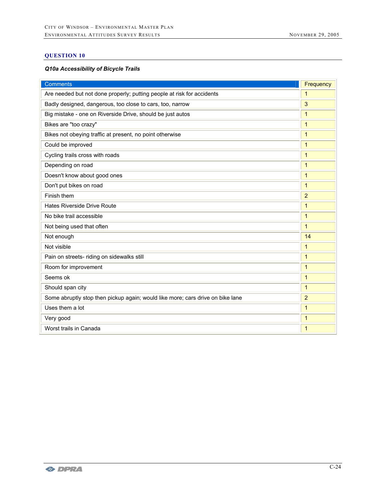# **QUESTION 10**

## *Q10a Accessibility of Bicycle Trails*

| <b>Comments</b>                                                                | Frequency      |
|--------------------------------------------------------------------------------|----------------|
| Are needed but not done properly; putting people at risk for accidents         | $\mathbf{1}$   |
| Badly designed, dangerous, too close to cars, too, narrow                      | 3              |
| Big mistake - one on Riverside Drive, should be just autos                     | $\mathbf{1}$   |
| Bikes are "too crazy"                                                          | 1              |
| Bikes not obeying traffic at present, no point otherwise                       | $\mathbf{1}$   |
| Could be improved                                                              | $\mathbf{1}$   |
| Cycling trails cross with roads                                                | $\mathbf{1}$   |
| Depending on road                                                              | $\mathbf{1}$   |
| Doesn't know about good ones                                                   | $\mathbf{1}$   |
| Don't put bikes on road                                                        | $\mathbf{1}$   |
| Finish them                                                                    | $\overline{2}$ |
| Hates Riverside Drive Route                                                    | $\mathbf{1}$   |
| No bike trail accessible                                                       | $\mathbf{1}$   |
| Not being used that often                                                      | $\mathbf{1}$   |
| Not enough                                                                     | 14             |
| Not visible                                                                    | 1              |
| Pain on streets- riding on sidewalks still                                     | $\mathbf{1}$   |
| Room for improvement                                                           | $\mathbf{1}$   |
| Seems ok                                                                       | $\mathbf{1}$   |
| Should span city                                                               | $\mathbf{1}$   |
| Some abruptly stop then pickup again; would like more; cars drive on bike lane | $\overline{2}$ |
| Uses them a lot                                                                | $\mathbf{1}$   |
| Very good                                                                      | 1              |
| Worst trails in Canada                                                         | 1              |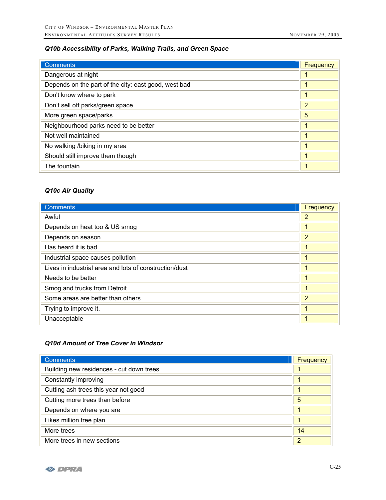# *Q10b Accessibility of Parks, Walking Trails, and Green Space*

| <b>Comments</b>                                      | Frequency      |
|------------------------------------------------------|----------------|
| Dangerous at night                                   |                |
| Depends on the part of the city: east good, west bad |                |
| Don't know where to park                             |                |
| Don't sell off parks/green space                     | $\overline{2}$ |
| More green space/parks                               | 5              |
| Neighbourhood parks need to be better                |                |
| Not well maintained                                  |                |
| No walking /biking in my area                        |                |
| Should still improve them though                     |                |
| The fountain                                         |                |

# *Q10c Air Quality*

| <b>Comments</b>                                        | Frequency      |
|--------------------------------------------------------|----------------|
| Awful                                                  | 2              |
| Depends on heat too & US smog                          |                |
| Depends on season                                      | $\overline{2}$ |
| Has heard it is bad                                    |                |
| Industrial space causes pollution                      |                |
| Lives in industrial area and lots of construction/dust |                |
| Needs to be better                                     |                |
| Smog and trucks from Detroit                           |                |
| Some areas are better than others                      | $\overline{2}$ |
| Trying to improve it.                                  |                |
| Unacceptable                                           |                |

# *Q10d Amount of Tree Cover in Windsor*

| <b>Comments</b>                          | Frequency |
|------------------------------------------|-----------|
| Building new residences - cut down trees |           |
| Constantly improving                     | 1         |
| Cutting ash trees this year not good     | 1         |
| Cutting more trees than before           | 5         |
| Depends on where you are                 | 1         |
| Likes million tree plan                  | 1         |
| More trees                               | 14        |
| More trees in new sections               | 2         |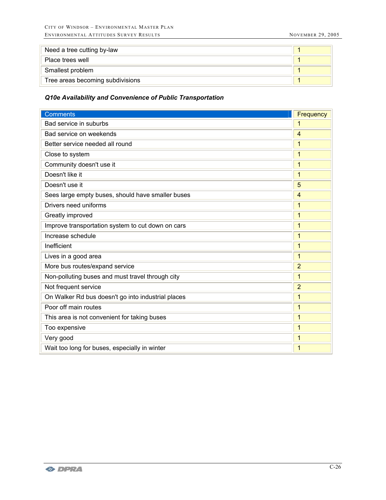| Need a tree cutting by-law       |  |
|----------------------------------|--|
| Place trees well                 |  |
| Smallest problem                 |  |
| Tree areas becoming subdivisions |  |

# *Q10e Availability and Convenience of Public Transportation*

| <b>Comments</b>                                    | Frequency      |
|----------------------------------------------------|----------------|
| Bad service in suburbs                             | 1              |
| Bad service on weekends                            | 4              |
| Better service needed all round                    | 1              |
| Close to system                                    | $\mathbf{1}$   |
| Community doesn't use it                           | $\mathbf{1}$   |
| Doesn't like it                                    | $\mathbf{1}$   |
| Doesn't use it                                     | 5              |
| Sees large empty buses, should have smaller buses  | $\overline{4}$ |
| Drivers need uniforms                              | $\overline{1}$ |
| Greatly improved                                   | 1              |
| Improve transportation system to cut down on cars  | $\mathbf{1}$   |
| Increase schedule                                  | $\mathbf{1}$   |
| Inefficient                                        | $\mathbf{1}$   |
| Lives in a good area                               | $\overline{1}$ |
| More bus routes/expand service                     | $\overline{2}$ |
| Non-polluting buses and must travel through city   | $\overline{1}$ |
| Not frequent service                               | $\overline{2}$ |
| On Walker Rd bus doesn't go into industrial places | $\overline{1}$ |
| Poor off main routes                               | $\mathbf{1}$   |
| This area is not convenient for taking buses       | $\mathbf{1}$   |
| Too expensive                                      | 1              |
| Very good                                          | $\mathbf{1}$   |
| Wait too long for buses, especially in winter      | $\overline{1}$ |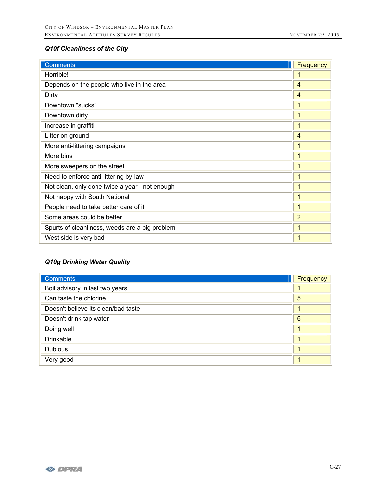# *Q10f Cleanliness of the City*

| <b>Comments</b>                                | Frequency      |
|------------------------------------------------|----------------|
| Horrible!                                      | 1              |
| Depends on the people who live in the area     | 4              |
| Dirty                                          | 4              |
| Downtown "sucks"                               | 1              |
| Downtown dirty                                 | 1              |
| Increase in graffiti                           | 1              |
| Litter on ground                               | 4              |
| More anti-littering campaigns                  | 1              |
| More bins                                      | $\mathbf{1}$   |
| More sweepers on the street                    | 1              |
| Need to enforce anti-littering by-law          | 1              |
| Not clean, only done twice a year - not enough | 1              |
| Not happy with South National                  | 1              |
| People need to take better care of it          | 1              |
| Some areas could be better                     | $\overline{2}$ |
| Spurts of cleanliness, weeds are a big problem | 1              |
| West side is very bad                          | 1              |

# *Q10g Drinking Water Quality*

| Comments                            | Frequency       |
|-------------------------------------|-----------------|
| Boil advisory in last two years     |                 |
| Can taste the chlorine              | 5               |
| Doesn't believe its clean/bad taste |                 |
| Doesn't drink tap water             | $6\phantom{1}6$ |
| Doing well                          | 4               |
| <b>Drinkable</b>                    | 1               |
| <b>Dubious</b>                      | 1               |
| Very good                           | 1               |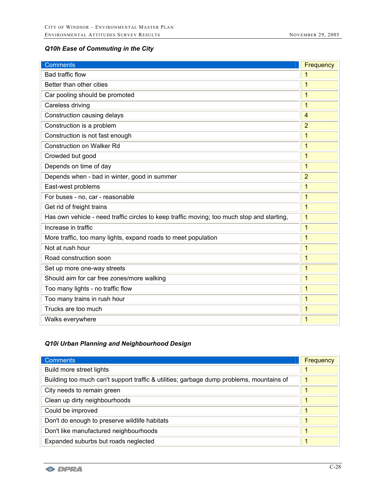# *Q10h Ease of Commuting in the City*

| <b>Comments</b>                                                                            | Frequency      |
|--------------------------------------------------------------------------------------------|----------------|
| <b>Bad traffic flow</b>                                                                    | 1              |
| Better than other cities                                                                   | 1              |
| Car pooling should be promoted                                                             | 1              |
| Careless driving                                                                           | 1              |
| Construction causing delays                                                                | 4              |
| Construction is a problem                                                                  | $\overline{2}$ |
| Construction is not fast enough                                                            | 1              |
| <b>Construction on Walker Rd</b>                                                           | 1              |
| Crowded but good                                                                           | 1              |
| Depends on time of day                                                                     | 1              |
| Depends when - bad in winter, good in summer                                               | $\overline{2}$ |
| East-west problems                                                                         | 1              |
| For buses - no, car - reasonable                                                           | 1              |
| Get rid of freight trains                                                                  | 1              |
| Has own vehicle - need traffic circles to keep traffic moving; too much stop and starting, | 1              |
| Increase in traffic                                                                        | $\mathbf{1}$   |
| More traffic, too many lights, expand roads to meet population                             | 1              |
| Not at rush hour                                                                           | 1              |
| Road construction soon                                                                     | 1              |
| Set up more one-way streets                                                                | 1              |
| Should aim for car free zones/more walking                                                 | 1              |
| Too many lights - no traffic flow                                                          | 1              |
| Too many trains in rush hour                                                               | 1              |
| Trucks are too much                                                                        | 1              |
| Walks everywhere                                                                           | 1              |

# *Q10i Urban Planning and Neighbourhood Design*

| <b>Comments</b>                                                                          | Frequency            |
|------------------------------------------------------------------------------------------|----------------------|
| Build more street lights                                                                 |                      |
| Building too much can't support traffic & utilities; garbage dump problems, mountains of | $\mathbf 1$          |
| City needs to remain green                                                               | 1                    |
| Clean up dirty neighbourhoods                                                            | $\blacktriangleleft$ |
| Could be improved                                                                        | 1                    |
| Don't do enough to preserve wildlife habitats                                            | 1                    |
| Don't like manufactured neighbourhoods                                                   | 1                    |
| Expanded suburbs but roads neglected                                                     | 1                    |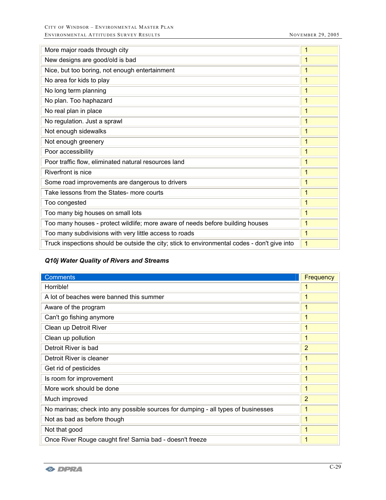| More major roads through city                                                                | 1            |
|----------------------------------------------------------------------------------------------|--------------|
| New designs are good/old is bad                                                              | 1            |
| Nice, but too boring, not enough entertainment                                               | 1            |
| No area for kids to play                                                                     | 1            |
| No long term planning                                                                        | 1            |
| No plan. Too haphazard                                                                       | 1            |
| No real plan in place                                                                        | $\mathbf{1}$ |
| No regulation. Just a sprawl                                                                 | 1            |
| Not enough sidewalks                                                                         | 1            |
| Not enough greenery                                                                          | 1            |
| Poor accessibility                                                                           | $\mathbf{1}$ |
| Poor traffic flow, eliminated natural resources land                                         | 1            |
| Riverfront is nice                                                                           | 1            |
| Some road improvements are dangerous to drivers                                              | $\mathbf{1}$ |
| Take lessons from the States- more courts                                                    | 1            |
| Too congested                                                                                | 1            |
| Too many big houses on small lots                                                            | 1            |
| Too many houses - protect wildlife; more aware of needs before building houses               | 1            |
| Too many subdivisions with very little access to roads                                       | $\mathbf{1}$ |
| Truck inspections should be outside the city; stick to environmental codes - don't give into | $\mathbf{1}$ |

# *Q10j Water Quality of Rivers and Streams*

| <b>Comments</b>                                                                   | <b>Frequency</b> |
|-----------------------------------------------------------------------------------|------------------|
| Horrible!                                                                         | 1                |
| A lot of beaches were banned this summer                                          | 1                |
| Aware of the program                                                              | 1                |
| Can't go fishing anymore                                                          | 1                |
| Clean up Detroit River                                                            | 1                |
| Clean up pollution                                                                | 1                |
| Detroit River is bad                                                              | $\overline{2}$   |
| Detroit River is cleaner                                                          | $\mathbf{1}$     |
| Get rid of pesticides                                                             | 1                |
| Is room for improvement                                                           | 1                |
| More work should be done                                                          | $\mathbf{1}$     |
| Much improved                                                                     | $\overline{2}$   |
| No marinas; check into any possible sources for dumping - all types of businesses | 1                |
| Not as bad as before though                                                       | 1                |
| Not that good                                                                     | 1                |
| Once River Rouge caught fire! Sarnia bad - doesn't freeze                         | 1                |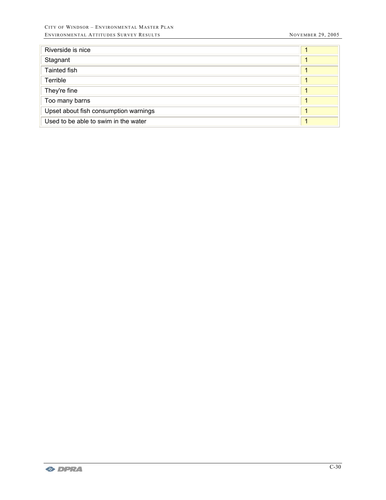| Riverside is nice                     |  |
|---------------------------------------|--|
| Stagnant                              |  |
| Tainted fish                          |  |
| Terrible                              |  |
| They're fine                          |  |
| Too many barns                        |  |
| Upset about fish consumption warnings |  |
| Used to be able to swim in the water  |  |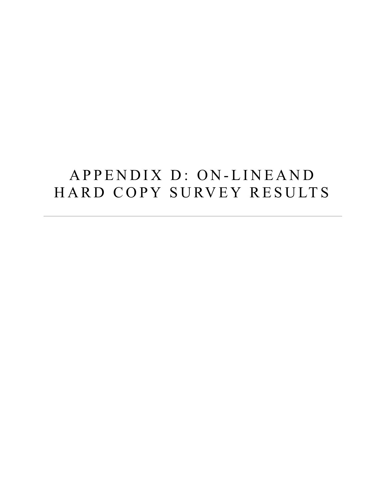# APPENDIX D: ON-LINEAND HARD COPY SURVEY RESULTS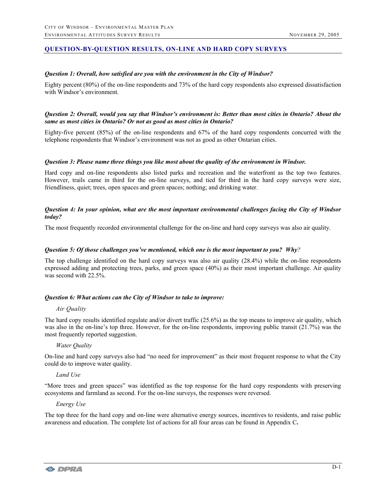# **QUESTION-BY-QUESTION RESULTS, ON-LINE AND HARD COPY SURVEYS**

#### *Question 1: Overall, how satisfied are you with the environment in the City of Windsor?*

Eighty percent (80%) of the on-line respondents and 73% of the hard copy respondents also expressed dissatisfaction with Windsor's environment.

#### *Question 2: Overall, would you say that Windsor's environment is: Better than most cities in Ontario? About the same as most cities in Ontario? Or not as good as most cities in Ontario?*

Eighty-five percent (85%) of the on-line respondents and 67% of the hard copy respondents concurred with the telephone respondents that Windsor's environment was not as good as other Ontarian cities.

#### *Question 3: Please name three things you like most about the quality of the environment in Windsor.*

Hard copy and on-line respondents also listed parks and recreation and the waterfront as the top two features. However, trails came in third for the on-line surveys, and tied for third in the hard copy surveys were size, friendliness, quiet; trees, open spaces and green spaces; nothing; and drinking water.

#### *Question 4: In your opinion, what are the most important environmental challenges facing the City of Windsor today?*

The most frequently recorded environmental challenge for the on-line and hard copy surveys was also air quality.

#### *Question 5: Of those challenges you've mentioned, which one is the most important to you? Why?*

The top challenge identified on the hard copy surveys was also air quality (28.4%) while the on-line respondents expressed adding and protecting trees, parks, and green space (40%) as their most important challenge. Air quality was second with 22.5%.

# *Question 6: What actions can the City of Windsor to take to improve:*

#### *Air Quality*

The hard copy results identified regulate and/or divert traffic (25.6%) as the top means to improve air quality, which was also in the on-line's top three. However, for the on-line respondents, improving public transit (21.7%) was the most frequently reported suggestion.

# *Water Quality*

On-line and hard copy surveys also had "no need for improvement" as their most frequent response to what the City could do to improve water quality.

# *Land Use*

"More trees and green spaces" was identified as the top response for the hard copy respondents with preserving ecosystems and farmland as second. For the on-line surveys, the responses were reversed.

#### *Energy Use*

The top three for the hard copy and on-line were alternative energy sources, incentives to residents, and raise public awareness and education. The complete list of actions for all four areas can be found in Appendix C**.**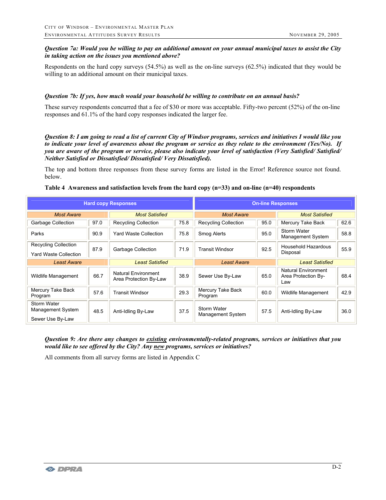# *Question 7a: Would you be willing to pay an additional amount on your annual municipal taxes to assist the City in taking action on the issues you mentioned above?*

Respondents on the hard copy surveys (54.5%) as well as the on-line surveys (62.5%) indicated that they would be willing to an additional amount on their municipal taxes.

## *Question 7b: If yes, how much would your household be willing to contribute on an annual basis?*

These survey respondents concurred that a fee of \$30 or more was acceptable. Fifty-two percent (52%) of the on-line responses and 61.1% of the hard copy responses indicated the larger fee.

*Question 8: I am going to read a list of current City of Windsor programs, services and initiatives I would like you to indicate your level of awareness about the program or service as they relate to the environment (Yes/No). If you are aware of the program or service, please also indicate your level of satisfaction (Very Satisfied/ Satisfied/ Neither Satisfied or Dissatisfied/ Dissatisfied/ Very Dissatisfied).*

The top and bottom three responses from these survey forms are listed in the Error! Reference source not found. below.

#### **Table 4 Awareness and satisfaction levels from the hard copy (n=33) and on-line (n=40) respondents**

| <b>Hard copy Responses</b>                                  |      | <b>On-line Responses</b>                             |      |                                  |      |                                                          |      |  |
|-------------------------------------------------------------|------|------------------------------------------------------|------|----------------------------------|------|----------------------------------------------------------|------|--|
| <b>Most Aware</b>                                           |      | <b>Most Satisfied</b>                                |      | <b>Most Aware</b>                |      | <b>Most Satisfied</b>                                    |      |  |
| Garbage Collection                                          | 97.0 | <b>Recycling Collection</b>                          | 75.8 | <b>Recycling Collection</b>      | 95.0 | Mercury Take Back                                        | 62.6 |  |
| Parks                                                       | 90.9 | <b>Yard Waste Collection</b>                         | 75.8 | Smog Alerts                      | 95.0 | Storm Water<br>Management System                         | 58.8 |  |
| <b>Recycling Collection</b>                                 | 87.9 | Garbage Collection                                   | 71.9 | <b>Transit Windsor</b>           | 92.5 | Household Hazardous                                      | 55.9 |  |
| Yard Waste Collection                                       |      |                                                      |      |                                  |      | Disposal                                                 |      |  |
| <b>Least Aware</b>                                          |      | <b>Least Satisfied</b>                               |      | <b>Least Aware</b>               |      | <b>Least Satisfied</b>                                   |      |  |
| Wildlife Management                                         | 66.7 | <b>Natural Environment</b><br>Area Protection By-Law | 38.9 | Sewer Use By-Law                 | 65.0 | <b>Natural Environment</b><br>Area Protection By-<br>Law | 68.4 |  |
| Mercury Take Back<br>Program                                | 57.6 | <b>Transit Windsor</b>                               | 29.3 | Mercury Take Back<br>Program     | 60.0 | Wildlife Management                                      | 42.9 |  |
| Storm Water<br><b>Management System</b><br>Sewer Use By-Law | 48.5 | Anti-Idling By-Law                                   | 37.5 | Storm Water<br>Management System | 57.5 | Anti-Idling By-Law                                       | 36.0 |  |

*Question 9: Are there any changes to existing environmentally-related programs, services or initiatives that you would like to see offered by the City? Any new programs, services or initiatives?* 

All comments from all survey forms are listed in Appendix C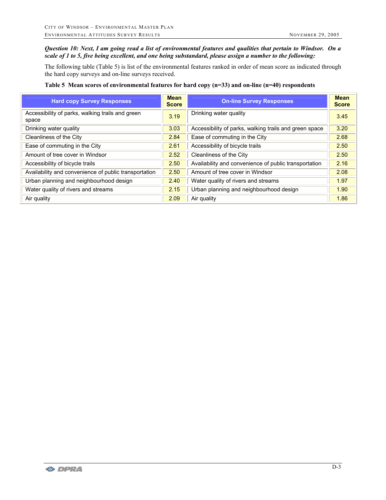# *Question 10: Next, I am going read a list of environmental features and qualities that pertain to Windsor. On a scale of 1 to 5, five being excellent, and one being substandard, please assign a number to the following:*

The following table (Table 5) is list of the environmental features ranked in order of mean score as indicated through the hard copy surveys and on-line surveys received.

## **Table 5 Mean scores of environmental features for hard copy (n=33) and on-line (n=40) respondents**

| <b>Hard copy Survey Responses</b>                         | <b>Mean</b><br><b>Score</b> | <b>On-line Survey Responses</b>                        | <b>Mean</b><br><b>Score</b> |
|-----------------------------------------------------------|-----------------------------|--------------------------------------------------------|-----------------------------|
| Accessibility of parks, walking trails and green<br>space | 3.19                        | Drinking water quality                                 | 3.45                        |
| Drinking water quality                                    | 3.03                        | Accessibility of parks, walking trails and green space | 3.20                        |
| Cleanliness of the City                                   | 2.84                        | Ease of commuting in the City                          | 2.68                        |
| Ease of commuting in the City                             | 2.61                        | Accessibility of bicycle trails                        | 2.50                        |
| Amount of tree cover in Windsor                           | 2.52                        | Cleanliness of the City                                | 2.50                        |
| Accessibility of bicycle trails                           | 2.50                        | Availability and convenience of public transportation  | 2.16                        |
| Availability and convenience of public transportation     | 2.50                        | Amount of tree cover in Windsor                        | 2.08                        |
| Urban planning and neighbourhood design                   | 2.40                        | Water quality of rivers and streams                    | 1.97                        |
| Water quality of rivers and streams                       | 2.15                        | Urban planning and neighbourhood design                | 1.90                        |
| Air quality                                               | 2.09                        | Air quality                                            | 1.86                        |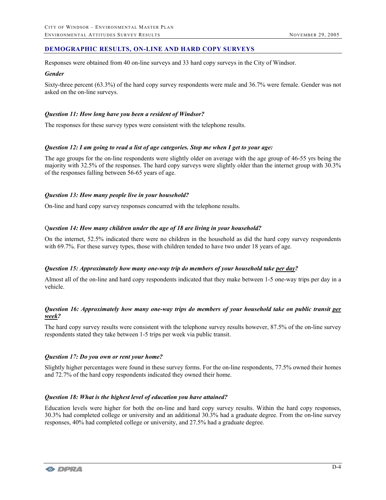# **DEMOGRAPHIC RESULTS, ON-LINE AND HARD COPY SURVEYS**

Responses were obtained from 40 on-line surveys and 33 hard copy surveys in the City of Windsor.

#### *Gender*

Sixty-three percent (63.3%) of the hard copy survey respondents were male and 36.7% were female. Gender was not asked on the on-line surveys.

## *Question 11: How long have you been a resident of Windsor?*

The responses for these survey types were consistent with the telephone results.

#### *Question 12: I am going to read a list of age categories. Stop me when I get to your age:*

The age groups for the on-line respondents were slightly older on average with the age group of 46-55 yrs being the majority with 32.5% of the responses. The hard copy surveys were slightly older than the internet group with 30.3% of the responses falling between 56-65 years of age.

# *Question 13: How many people live in your household?*

On-line and hard copy survey responses concurred with the telephone results.

#### Q*uestion 14: How many children under the age of 18 are living in your household?*

On the internet, 52.5% indicated there were no children in the household as did the hard copy survey respondents with 69.7%. For these survey types, those with children tended to have two under 18 years of age.

# *Question 15: Approximately how many one-way trip do members of your household take per day?*

Almost all of the on-line and hard copy respondents indicated that they make between 1-5 one-way trips per day in a vehicle.

# *Question 16: Approximately how many one-way trips do members of your household take on public transit per week?*

The hard copy survey results were consistent with the telephone survey results however, 87.5% of the on-line survey respondents stated they take between 1-5 trips per week via public transit.

#### *Question 17: Do you own or rent your home?*

Slightly higher percentages were found in these survey forms. For the on-line respondents, 77.5% owned their homes and 72.7% of the hard copy respondents indicated they owned their home.

#### *Question 18: What is the highest level of education you have attained?*

Education levels were higher for both the on-line and hard copy survey results. Within the hard copy responses, 30.3% had completed college or university and an additional 30.3% had a graduate degree. From the on-line survey responses, 40% had completed college or university, and 27.5% had a graduate degree.